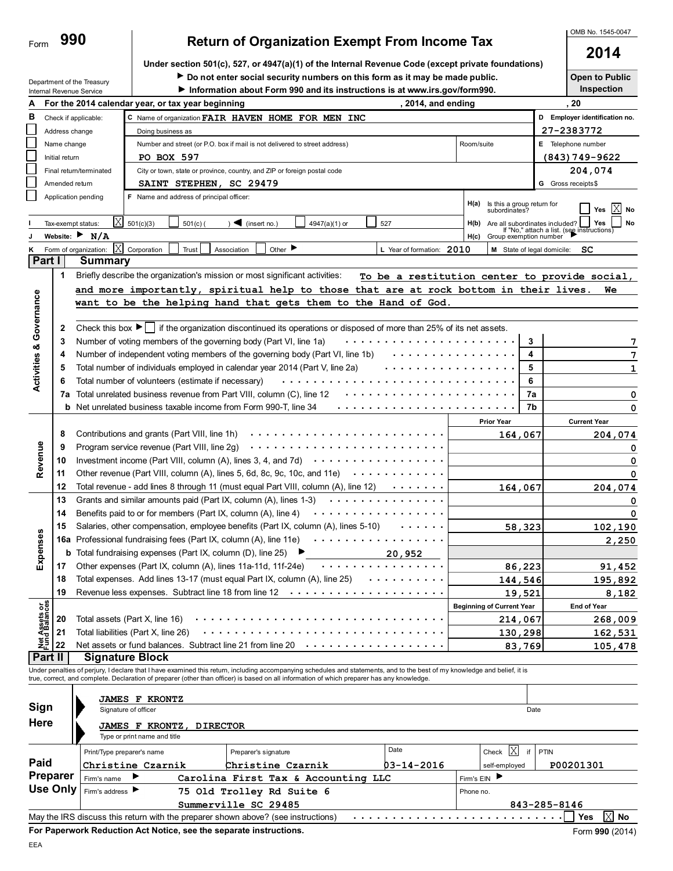| Form                           | 990             |                                                        |                                                                                                                                                                                                                                                                                                                          |                                                      |                                                                                                    |                           |                                    |                                                                                                                                                                   | ו <del>ו</del> יטטייט <del>ו</del> יט. ו טווי                                      |  |  |
|--------------------------------|-----------------|--------------------------------------------------------|--------------------------------------------------------------------------------------------------------------------------------------------------------------------------------------------------------------------------------------------------------------------------------------------------------------------------|------------------------------------------------------|----------------------------------------------------------------------------------------------------|---------------------------|------------------------------------|-------------------------------------------------------------------------------------------------------------------------------------------------------------------|------------------------------------------------------------------------------------|--|--|
|                                |                 |                                                        |                                                                                                                                                                                                                                                                                                                          | <b>Return of Organization Exempt From Income Tax</b> |                                                                                                    |                           |                                    |                                                                                                                                                                   |                                                                                    |  |  |
|                                |                 |                                                        |                                                                                                                                                                                                                                                                                                                          |                                                      | Under section 501(c), 527, or 4947(a)(1) of the Internal Revenue Code (except private foundations) |                           |                                    |                                                                                                                                                                   | 2014                                                                               |  |  |
|                                |                 |                                                        |                                                                                                                                                                                                                                                                                                                          |                                                      | Do not enter social security numbers on this form as it may be made public.                        |                           |                                    |                                                                                                                                                                   | <b>Open to Public</b>                                                              |  |  |
|                                |                 | Department of the Treasury<br>Internal Revenue Service |                                                                                                                                                                                                                                                                                                                          |                                                      | Information about Form 990 and its instructions is at www.irs.gov/form990.                         |                           |                                    |                                                                                                                                                                   | Inspection                                                                         |  |  |
|                                |                 |                                                        | For the 2014 calendar year, or tax year beginning                                                                                                                                                                                                                                                                        |                                                      |                                                                                                    | , 2014, and ending        |                                    |                                                                                                                                                                   | . 20                                                                               |  |  |
| в                              |                 | Check if applicable:                                   | C Name of organization FAIR HAVEN HOME FOR MEN INC                                                                                                                                                                                                                                                                       |                                                      |                                                                                                    |                           |                                    |                                                                                                                                                                   | D Employer identification no.                                                      |  |  |
|                                | Address change  |                                                        | Doing business as                                                                                                                                                                                                                                                                                                        |                                                      |                                                                                                    |                           |                                    |                                                                                                                                                                   | 27-2383772                                                                         |  |  |
|                                | Name change     |                                                        | Number and street (or P.O. box if mail is not delivered to street address)                                                                                                                                                                                                                                               |                                                      |                                                                                                    |                           | Room/suite                         |                                                                                                                                                                   | E Telephone number                                                                 |  |  |
|                                | Initial return  |                                                        | PO BOX 597                                                                                                                                                                                                                                                                                                               |                                                      |                                                                                                    |                           |                                    |                                                                                                                                                                   | (843)749-9622                                                                      |  |  |
|                                |                 | Final return/terminated                                | City or town, state or province, country, and ZIP or foreign postal code                                                                                                                                                                                                                                                 |                                                      |                                                                                                    |                           |                                    |                                                                                                                                                                   | 204,074                                                                            |  |  |
|                                |                 |                                                        |                                                                                                                                                                                                                                                                                                                          |                                                      |                                                                                                    |                           |                                    |                                                                                                                                                                   | <b>G</b> Gross receipts \$                                                         |  |  |
|                                | Amended return  |                                                        | SAINT STEPHEN, SC 29479                                                                                                                                                                                                                                                                                                  |                                                      |                                                                                                    |                           |                                    |                                                                                                                                                                   |                                                                                    |  |  |
|                                |                 | Application pending                                    | F Name and address of principal officer:                                                                                                                                                                                                                                                                                 |                                                      |                                                                                                    |                           | H(a)<br>Is this a group return for |                                                                                                                                                                   | Yes $ X $                                                                          |  |  |
|                                |                 |                                                        |                                                                                                                                                                                                                                                                                                                          |                                                      |                                                                                                    |                           | subordinates?                      |                                                                                                                                                                   | No                                                                                 |  |  |
|                                |                 | Tax-exempt status:                                     | $\overline{\mathbb{X}}$ 501(c)(3)<br>$501(c)$ (                                                                                                                                                                                                                                                                          | $\triangleleft$ (insert no.)                         | 4947(a)(1) or                                                                                      | 527                       | H(b)                               |                                                                                                                                                                   | No<br>Are all subordinates included?<br>If "No," attach a list. (see instructions) |  |  |
|                                |                 | Website: $\blacktriangleright$ N/A                     |                                                                                                                                                                                                                                                                                                                          |                                                      |                                                                                                    |                           | H(c)                               | Group exemption number                                                                                                                                            |                                                                                    |  |  |
| Part I                         |                 | Form of organization:                                  | $X$ Corporation<br>Trust                                                                                                                                                                                                                                                                                                 | Other $\blacksquare$<br>Association                  |                                                                                                    | L Year of formation: 2010 |                                    | M State of legal domicile:                                                                                                                                        | sc                                                                                 |  |  |
|                                |                 | <b>Summary</b>                                         |                                                                                                                                                                                                                                                                                                                          |                                                      |                                                                                                    |                           |                                    |                                                                                                                                                                   |                                                                                    |  |  |
|                                | 1               |                                                        | Briefly describe the organization's mission or most significant activities:                                                                                                                                                                                                                                              |                                                      |                                                                                                    |                           |                                    |                                                                                                                                                                   | To be a restitution center to provide social,                                      |  |  |
|                                |                 |                                                        | and more importantly, spiritual help to those that are at rock bottom in their lives.                                                                                                                                                                                                                                    |                                                      |                                                                                                    |                           |                                    |                                                                                                                                                                   | Wе                                                                                 |  |  |
|                                |                 |                                                        | want to be the helping hand that gets them to the Hand of God.                                                                                                                                                                                                                                                           |                                                      |                                                                                                    |                           |                                    |                                                                                                                                                                   |                                                                                    |  |  |
| Activities & Governance        |                 |                                                        |                                                                                                                                                                                                                                                                                                                          |                                                      |                                                                                                    |                           |                                    |                                                                                                                                                                   |                                                                                    |  |  |
|                                | 2               |                                                        | Check this box $\blacktriangleright$   if the organization discontinued its operations or disposed of more than 25% of its net assets.                                                                                                                                                                                   |                                                      |                                                                                                    |                           |                                    |                                                                                                                                                                   |                                                                                    |  |  |
|                                | 3               |                                                        | Number of voting members of the governing body (Part VI, line 1a)                                                                                                                                                                                                                                                        |                                                      |                                                                                                    | .                         |                                    | 3                                                                                                                                                                 |                                                                                    |  |  |
|                                | 4               |                                                        | Number of independent voting members of the governing body (Part VI, line 1b)                                                                                                                                                                                                                                            |                                                      |                                                                                                    |                           |                                    | 4                                                                                                                                                                 | 7                                                                                  |  |  |
|                                | 5               |                                                        | Total number of individuals employed in calendar year 2014 (Part V, line 2a)                                                                                                                                                                                                                                             |                                                      |                                                                                                    |                           |                                    | 5                                                                                                                                                                 | 1                                                                                  |  |  |
|                                | 6               |                                                        | Total number of volunteers (estimate if necessary)                                                                                                                                                                                                                                                                       |                                                      |                                                                                                    |                           |                                    | 6                                                                                                                                                                 |                                                                                    |  |  |
|                                | 7a              |                                                        | Total unrelated business revenue from Part VIII, column (C), line 12                                                                                                                                                                                                                                                     |                                                      |                                                                                                    | .                         |                                    | 7a                                                                                                                                                                | 0                                                                                  |  |  |
|                                |                 |                                                        | <b>b</b> Net unrelated business taxable income from Form 990-T, line 34                                                                                                                                                                                                                                                  |                                                      |                                                                                                    | .                         |                                    | 7b                                                                                                                                                                | 0                                                                                  |  |  |
|                                |                 |                                                        |                                                                                                                                                                                                                                                                                                                          |                                                      |                                                                                                    |                           | <b>Prior Year</b>                  |                                                                                                                                                                   | <b>Current Year</b>                                                                |  |  |
|                                | 8               |                                                        | Contributions and grants (Part VIII, line 1h)                                                                                                                                                                                                                                                                            |                                                      |                                                                                                    |                           | 164,067                            |                                                                                                                                                                   | 204,074                                                                            |  |  |
|                                | 9               |                                                        | Program service revenue (Part VIII, line 2g)                                                                                                                                                                                                                                                                             |                                                      |                                                                                                    |                           |                                    |                                                                                                                                                                   | 0                                                                                  |  |  |
|                                | 10              |                                                        | Investment income (Part VIII, column (A), lines 3, 4, and 7d) $\cdots$                                                                                                                                                                                                                                                   |                                                      |                                                                                                    |                           |                                    |                                                                                                                                                                   | 0                                                                                  |  |  |
| Revenue                        | 11              |                                                        | Other revenue (Part VIII, column (A), lines 5, 6d, 8c, 9c, 10c, and 11e) $\cdots \cdots \cdots \cdots$                                                                                                                                                                                                                   |                                                      |                                                                                                    |                           |                                    |                                                                                                                                                                   |                                                                                    |  |  |
|                                | 12              |                                                        | Total revenue - add lines 8 through 11 (must equal Part VIII, column (A), line 12)                                                                                                                                                                                                                                       |                                                      |                                                                                                    | .                         | 164,067                            |                                                                                                                                                                   | 204,074                                                                            |  |  |
|                                | 13              |                                                        | Grants and similar amounts paid (Part IX, column (A), lines 1-3)                                                                                                                                                                                                                                                         |                                                      |                                                                                                    | .                         |                                    |                                                                                                                                                                   |                                                                                    |  |  |
|                                | 14              |                                                        | Benefits paid to or for members (Part IX, column (A), line 4)                                                                                                                                                                                                                                                            |                                                      | .                                                                                                  |                           |                                    |                                                                                                                                                                   | 0                                                                                  |  |  |
|                                | 15              |                                                        | Salaries, other compensation, employee benefits (Part IX, column (A), lines 5-10)                                                                                                                                                                                                                                        |                                                      |                                                                                                    |                           |                                    |                                                                                                                                                                   |                                                                                    |  |  |
|                                |                 |                                                        | <b>16a</b> Professional fundraising fees (Part IX, column (A), line 11e)                                                                                                                                                                                                                                                 |                                                      |                                                                                                    |                           | 58,323                             |                                                                                                                                                                   | 102,190                                                                            |  |  |
| Expenses                       |                 |                                                        |                                                                                                                                                                                                                                                                                                                          |                                                      |                                                                                                    |                           |                                    |                                                                                                                                                                   | 2,250                                                                              |  |  |
|                                |                 |                                                        | <b>b</b> Total fundraising expenses (Part IX, column $(D)$ , line 25)                                                                                                                                                                                                                                                    |                                                      |                                                                                                    | 20,952                    |                                    |                                                                                                                                                                   |                                                                                    |  |  |
|                                | 17              |                                                        | Other expenses (Part IX, column (A), lines 11a-11d, 11f-24e)                                                                                                                                                                                                                                                             |                                                      |                                                                                                    |                           | 86,223                             |                                                                                                                                                                   | 91,452                                                                             |  |  |
|                                | 18              |                                                        | Total expenses. Add lines 13-17 (must equal Part IX, column (A), line 25)                                                                                                                                                                                                                                                |                                                      |                                                                                                    |                           | 144,546                            |                                                                                                                                                                   | 195,892                                                                            |  |  |
|                                | 19              |                                                        | Revenue less expenses. Subtract line 18 from line 12                                                                                                                                                                                                                                                                     |                                                      |                                                                                                    |                           | 19,521                             |                                                                                                                                                                   | 8,182                                                                              |  |  |
| Net Assets or<br>Fund Balances |                 |                                                        |                                                                                                                                                                                                                                                                                                                          |                                                      |                                                                                                    |                           | <b>Beginning of Current Year</b>   |                                                                                                                                                                   | <b>End of Year</b>                                                                 |  |  |
|                                | 20              |                                                        | Total assets (Part X, line 16)                                                                                                                                                                                                                                                                                           |                                                      |                                                                                                    |                           | 214,067                            |                                                                                                                                                                   | 268,009                                                                            |  |  |
|                                | 21              |                                                        | Total liabilities (Part X, line 26)                                                                                                                                                                                                                                                                                      |                                                      |                                                                                                    |                           | 130,298                            |                                                                                                                                                                   | 162,531                                                                            |  |  |
|                                | 22              |                                                        | Net assets or fund balances. Subtract line 21 from line $20 \cdot \cdot \cdot \cdot \cdot \cdot \cdot \cdot \cdot \cdot$                                                                                                                                                                                                 |                                                      |                                                                                                    |                           | 83,769                             |                                                                                                                                                                   | 105,478                                                                            |  |  |
|                                | Part II         |                                                        | <b>Signature Block</b>                                                                                                                                                                                                                                                                                                   |                                                      |                                                                                                    |                           |                                    |                                                                                                                                                                   |                                                                                    |  |  |
|                                |                 |                                                        | Under penalties of perjury, I declare that I have examined this return, including accompanying schedules and statements, and to the best of my knowledge and belief, it is<br>true, correct, and complete. Declaration of preparer (other than officer) is based on all information of which preparer has any knowledge. |                                                      |                                                                                                    |                           |                                    |                                                                                                                                                                   |                                                                                    |  |  |
|                                |                 |                                                        |                                                                                                                                                                                                                                                                                                                          |                                                      |                                                                                                    |                           |                                    |                                                                                                                                                                   |                                                                                    |  |  |
|                                |                 |                                                        | <b>JAMES F KRONTZ</b>                                                                                                                                                                                                                                                                                                    |                                                      |                                                                                                    |                           |                                    |                                                                                                                                                                   |                                                                                    |  |  |
| Sign                           |                 |                                                        | Signature of officer                                                                                                                                                                                                                                                                                                     |                                                      |                                                                                                    |                           |                                    | Date                                                                                                                                                              |                                                                                    |  |  |
| Here                           |                 |                                                        | <b>JAMES F KRONTZ, DIRECTOR</b>                                                                                                                                                                                                                                                                                          |                                                      |                                                                                                    |                           |                                    |                                                                                                                                                                   |                                                                                    |  |  |
|                                |                 |                                                        | Type or print name and title                                                                                                                                                                                                                                                                                             |                                                      |                                                                                                    |                           |                                    |                                                                                                                                                                   |                                                                                    |  |  |
|                                |                 |                                                        | Print/Type preparer's name                                                                                                                                                                                                                                                                                               | Preparer's signature                                 |                                                                                                    | Date                      | Check $X$                          | if<br>PTIN                                                                                                                                                        |                                                                                    |  |  |
| Paid                           |                 |                                                        | Christine Czarnik                                                                                                                                                                                                                                                                                                        | Christine Czarnik                                    |                                                                                                    | 03-14-2016                | self-employed                      |                                                                                                                                                                   | P00201301                                                                          |  |  |
|                                | Preparer        | Firm's name                                            |                                                                                                                                                                                                                                                                                                                          |                                                      | Carolina First Tax & Accounting LLC                                                                |                           | Firm's EIN                         |                                                                                                                                                                   |                                                                                    |  |  |
|                                | <b>Use Only</b> | Firm's address                                         |                                                                                                                                                                                                                                                                                                                          | 75 Old Trolley Rd Suite 6                            |                                                                                                    |                           | Phone no.                          |                                                                                                                                                                   |                                                                                    |  |  |
|                                |                 |                                                        |                                                                                                                                                                                                                                                                                                                          | Summerville SC 29485                                 |                                                                                                    |                           |                                    | 843-285-8146                                                                                                                                                      |                                                                                    |  |  |
|                                |                 |                                                        | May the IRS discuss this return with the preparer shown above? (see instructions)                                                                                                                                                                                                                                        |                                                      |                                                                                                    | .                         |                                    | $\begin{array}{cccccccccccccc} \bullet & \bullet & \bullet & \bullet & \bullet & \bullet & \bullet & \bullet & \bullet & \bullet & \bullet & \bullet \end{array}$ | $\mathbb{X}$ No<br>Yes                                                             |  |  |
|                                |                 |                                                        |                                                                                                                                                                                                                                                                                                                          |                                                      |                                                                                                    |                           |                                    |                                                                                                                                                                   |                                                                                    |  |  |

**990**

 $\overline{\phantom{a}}$ 

OMB No. 1545-0047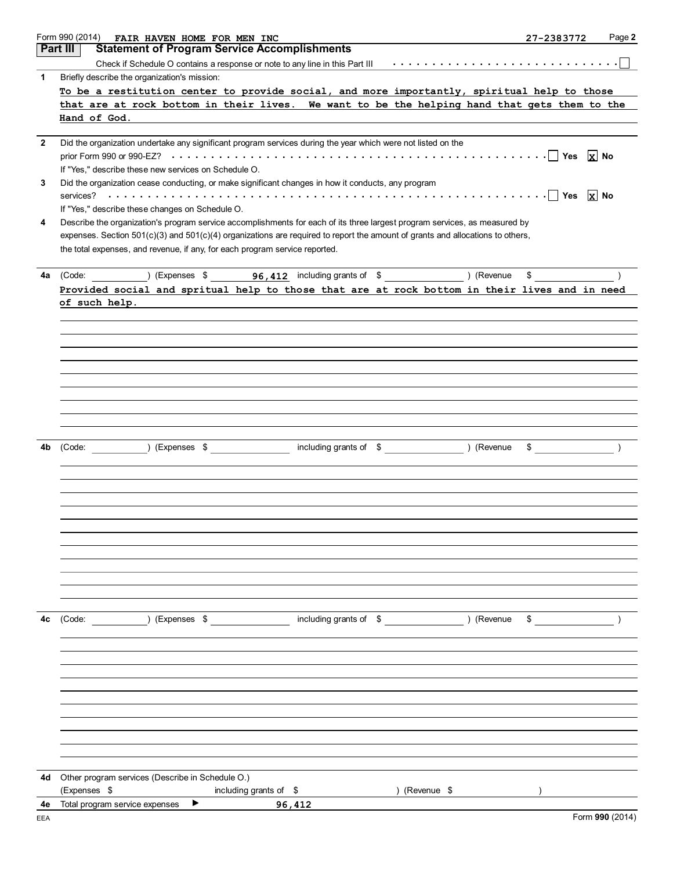|                | Form 990 (2014) FAIR HAVEN HOME FOR MEN INC                                                                                    | 27-2383772 | Page 2          |
|----------------|--------------------------------------------------------------------------------------------------------------------------------|------------|-----------------|
|                | <b>Statement of Program Service Accomplishments</b><br>Part III                                                                |            |                 |
|                |                                                                                                                                |            |                 |
| 1              | Briefly describe the organization's mission:                                                                                   |            |                 |
|                | To be a restitution center to provide social, and more importantly, spiritual help to those                                    |            |                 |
|                | that are at rock bottom in their lives. We want to be the helping hand that gets them to the                                   |            |                 |
|                | Hand of God.                                                                                                                   |            |                 |
| $\overline{2}$ | Did the organization undertake any significant program services during the year which were not listed on the                   |            |                 |
|                |                                                                                                                                |            |                 |
|                | If "Yes," describe these new services on Schedule O.                                                                           |            |                 |
| 3              | Did the organization cease conducting, or make significant changes in how it conducts, any program                             |            |                 |
|                |                                                                                                                                |            |                 |
|                | If "Yes," describe these changes on Schedule O.                                                                                |            |                 |
| 4              | Describe the organization's program service accomplishments for each of its three largest program services, as measured by     |            |                 |
|                | expenses. Section 501(c)(3) and 501(c)(4) organizations are required to report the amount of grants and allocations to others, |            |                 |
|                | the total expenses, and revenue, if any, for each program service reported.                                                    |            |                 |
|                |                                                                                                                                |            |                 |
| 4a             | (Code: ) (Expenses $$$ 96, 412 including grants of $$$ ) (Revenue $$$                                                          |            |                 |
|                | Provided social and spritual help to those that are at rock bottom in their lives and in need                                  |            |                 |
|                | of such help.                                                                                                                  |            |                 |
|                |                                                                                                                                |            |                 |
|                |                                                                                                                                |            |                 |
|                |                                                                                                                                |            |                 |
|                |                                                                                                                                |            |                 |
|                |                                                                                                                                |            |                 |
|                |                                                                                                                                |            |                 |
|                |                                                                                                                                |            |                 |
|                |                                                                                                                                |            |                 |
|                |                                                                                                                                |            |                 |
| 4b             | including grants of \$ (Revenue)<br>(Code: ) (Expenses \$                                                                      |            |                 |
|                |                                                                                                                                |            |                 |
|                |                                                                                                                                |            |                 |
|                |                                                                                                                                |            |                 |
|                |                                                                                                                                |            |                 |
|                |                                                                                                                                |            |                 |
|                |                                                                                                                                |            |                 |
|                |                                                                                                                                |            |                 |
|                |                                                                                                                                |            |                 |
|                |                                                                                                                                |            |                 |
|                |                                                                                                                                |            |                 |
|                |                                                                                                                                |            |                 |
| 4c             | ) (Expenses \$<br>including grants of \$<br>) (Revenue<br>(Code:                                                               | \$         |                 |
|                |                                                                                                                                |            |                 |
|                |                                                                                                                                |            |                 |
|                |                                                                                                                                |            |                 |
|                |                                                                                                                                |            |                 |
|                |                                                                                                                                |            |                 |
|                |                                                                                                                                |            |                 |
|                |                                                                                                                                |            |                 |
|                |                                                                                                                                |            |                 |
|                |                                                                                                                                |            |                 |
|                |                                                                                                                                |            |                 |
| 4d             | Other program services (Describe in Schedule O.)                                                                               |            |                 |
|                | (Expenses \$<br>including grants of \$<br>) (Revenue \$                                                                        |            |                 |
| 4e             | Total program service expenses<br>96,412                                                                                       |            |                 |
| EEA            |                                                                                                                                |            | Form 990 (2014) |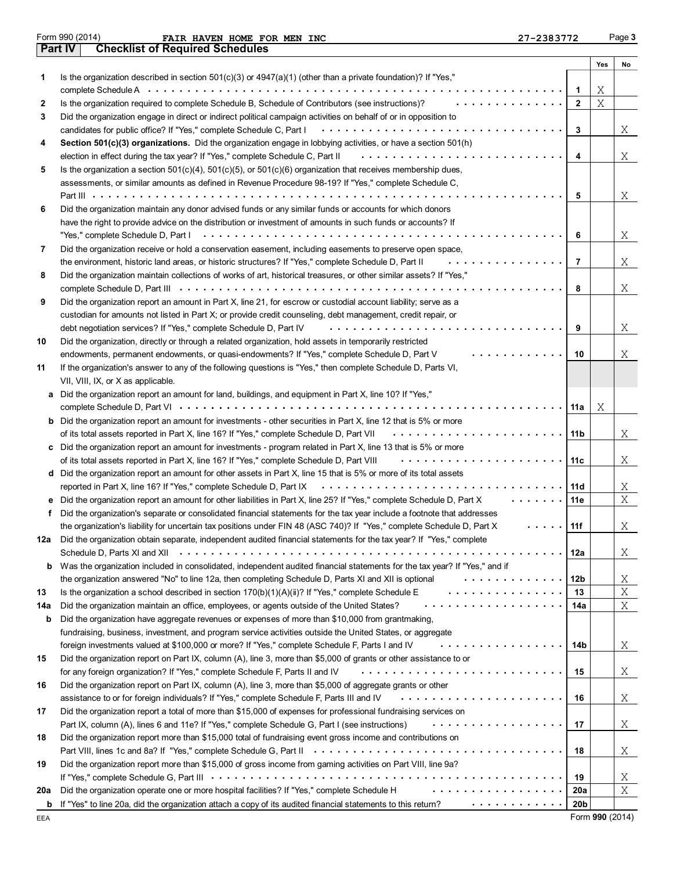|     | Form 990 (2014)<br>27-2383772<br>FAIR HAVEN HOME FOR MEN INC                                                                                                                                                                        |                 |     | Page 3 |
|-----|-------------------------------------------------------------------------------------------------------------------------------------------------------------------------------------------------------------------------------------|-----------------|-----|--------|
|     | <b>Checklist of Required Schedules</b><br><b>Part IV</b>                                                                                                                                                                            |                 |     |        |
|     |                                                                                                                                                                                                                                     |                 | Yes | No     |
| 1.  | Is the organization described in section $501(c)(3)$ or $4947(a)(1)$ (other than a private foundation)? If "Yes,"                                                                                                                   |                 |     |        |
|     |                                                                                                                                                                                                                                     | 1               | Χ   |        |
| 2   | Is the organization required to complete Schedule B, Schedule of Contributors (see instructions)?                                                                                                                                   | $\mathbf{2}$    | Χ   |        |
| 3   | Did the organization engage in direct or indirect political campaign activities on behalf of or in opposition to                                                                                                                    |                 |     |        |
|     | candidates for public office? If "Yes," complete Schedule C, Part I                                                                                                                                                                 | 3               |     | Χ      |
| 4   | Section 501(c)(3) organizations. Did the organization engage in lobbying activities, or have a section 501(h)                                                                                                                       |                 |     |        |
|     | .<br>election in effect during the tax year? If "Yes," complete Schedule C, Part II                                                                                                                                                 | 4               |     | Χ      |
| 5   | Is the organization a section $501(c)(4)$ , $501(c)(5)$ , or $501(c)(6)$ organization that receives membership dues,                                                                                                                |                 |     |        |
|     | assessments, or similar amounts as defined in Revenue Procedure 98-19? If "Yes," complete Schedule C,                                                                                                                               |                 |     |        |
|     |                                                                                                                                                                                                                                     | 5               |     | Χ      |
| 6   | Did the organization maintain any donor advised funds or any similar funds or accounts for which donors                                                                                                                             |                 |     |        |
|     | have the right to provide advice on the distribution or investment of amounts in such funds or accounts? If                                                                                                                         |                 |     |        |
|     | "Yes," complete Schedule D, Part I                                                                                                                                                                                                  | 6               |     | Χ      |
| 7   | Did the organization receive or hold a conservation easement, including easements to preserve open space,                                                                                                                           |                 |     |        |
|     | the environment, historic land areas, or historic structures? If "Yes," complete Schedule D, Part II<br>.                                                                                                                           | 7               |     | Χ      |
| 8   | Did the organization maintain collections of works of art, historical treasures, or other similar assets? If "Yes,"                                                                                                                 |                 |     |        |
|     |                                                                                                                                                                                                                                     | 8               |     | Χ      |
| 9   | Did the organization report an amount in Part X, line 21, for escrow or custodial account liability; serve as a                                                                                                                     |                 |     |        |
|     | custodian for amounts not listed in Part X; or provide credit counseling, debt management, credit repair, or                                                                                                                        |                 |     |        |
|     | debt negotiation services? If "Yes," complete Schedule D, Part IV                                                                                                                                                                   | 9               |     | X      |
| 10  | Did the organization, directly or through a related organization, hold assets in temporarily restricted                                                                                                                             |                 |     |        |
|     | endowments, permanent endowments, or quasi-endowments? If "Yes," complete Schedule D, Part V                                                                                                                                        | 10              |     | Χ      |
| 11  | If the organization's answer to any of the following questions is "Yes," then complete Schedule D, Parts VI,                                                                                                                        |                 |     |        |
|     | VII, VIII, IX, or X as applicable.                                                                                                                                                                                                  |                 |     |        |
| a   | Did the organization report an amount for land, buildings, and equipment in Part X, line 10? If "Yes,"                                                                                                                              |                 |     |        |
|     |                                                                                                                                                                                                                                     | 11a             | Χ   |        |
|     | <b>b</b> Did the organization report an amount for investments - other securities in Part X, line 12 that is 5% or more                                                                                                             |                 |     |        |
|     | of its total assets reported in Part X, line 16? If "Yes," complete Schedule D, Part VII                                                                                                                                            | 11 b            |     | X      |
| C   | Did the organization report an amount for investments - program related in Part X, line 13 that is 5% or more                                                                                                                       |                 |     |        |
|     | of its total assets reported in Part X, line 16? If "Yes," complete Schedule D, Part VIII                                                                                                                                           | 11c             |     | X      |
|     | d Did the organization report an amount for other assets in Part X, line 15 that is 5% or more of its total assets                                                                                                                  |                 |     |        |
|     | reported in Part X, line 16? If "Yes," complete Schedule D, Part IX                                                                                                                                                                 | 11d             |     | X      |
|     | Did the organization report an amount for other liabilities in Part X, line 25? If "Yes," complete Schedule D, Part X                                                                                                               | 11e             |     | Χ      |
|     | Did the organization's separate or consolidated financial statements for the tax year include a footnote that addresses                                                                                                             |                 |     |        |
|     | the organization's liability for uncertain tax positions under FIN 48 (ASC 740)? If "Yes," complete Schedule D, Part X                                                                                                              | 11f             |     | Χ      |
| 12a | Did the organization obtain separate, independent audited financial statements for the tax year? If "Yes," complete                                                                                                                 |                 |     |        |
|     | Schedule D, Parts XI and XII <i>mathematic interpretation</i> of the state of the state of the state of the state of the state of the state of the state of the state of the state of the state of the state of the state of the st | 12a             |     | Χ      |
| b   | Was the organization included in consolidated, independent audited financial statements for the tax year? If "Yes," and if                                                                                                          |                 |     |        |
|     | the organization answered "No" to line 12a, then completing Schedule D, Parts XI and XII is optional<br>.                                                                                                                           | 12b             |     | Χ      |
| 13  | .<br>Is the organization a school described in section $170(b)(1)(A)(ii)$ ? If "Yes," complete Schedule E                                                                                                                           | 13              |     | Χ      |
| 14a | .<br>Did the organization maintain an office, employees, or agents outside of the United States?                                                                                                                                    | 14a             |     | Χ      |
| b   | Did the organization have aggregate revenues or expenses of more than \$10,000 from grantmaking,                                                                                                                                    |                 |     |        |
|     | fundraising, business, investment, and program service activities outside the United States, or aggregate                                                                                                                           |                 |     |        |
|     | foreign investments valued at \$100,000 or more? If "Yes," complete Schedule F, Parts I and IV<br>.                                                                                                                                 | 14b             |     | Χ      |
| 15  | Did the organization report on Part IX, column (A), line 3, more than \$5,000 of grants or other assistance to or                                                                                                                   |                 |     |        |
|     | for any foreign organization? If "Yes," complete Schedule F, Parts II and IV                                                                                                                                                        | 15              |     | Χ      |
| 16  | Did the organization report on Part IX, column (A), line 3, more than \$5,000 of aggregate grants or other                                                                                                                          |                 |     |        |
|     | assistance to or for foreign individuals? If "Yes," complete Schedule F, Parts III and IV                                                                                                                                           | 16              |     | Χ      |
| 17  | Did the organization report a total of more than \$15,000 of expenses for professional fundraising services on                                                                                                                      |                 |     |        |
|     | Part IX, column (A), lines 6 and 11e? If "Yes," complete Schedule G, Part I (see instructions) $\cdots \cdots \cdots \cdots$                                                                                                        | 17              |     | Χ      |
| 18  | Did the organization report more than \$15,000 total of fundraising event gross income and contributions on                                                                                                                         |                 |     |        |
|     |                                                                                                                                                                                                                                     | 18              |     | Χ      |
| 19  | Did the organization report more than \$15,000 of gross income from gaming activities on Part VIII, line 9a?                                                                                                                        |                 |     |        |
|     | If "Yes," complete Schedule G, Part III (a) and a content of the content of the content of the s," complete Schedule G, Part III (a) and content of the content of the content of the content of the content of the content of      | 19              |     | Χ      |
| 20a | .<br>Did the organization operate one or more hospital facilities? If "Yes," complete Schedule H                                                                                                                                    | 20a             |     | Χ      |
| b   |                                                                                                                                                                                                                                     | 20 <sub>b</sub> |     |        |
|     |                                                                                                                                                                                                                                     |                 |     |        |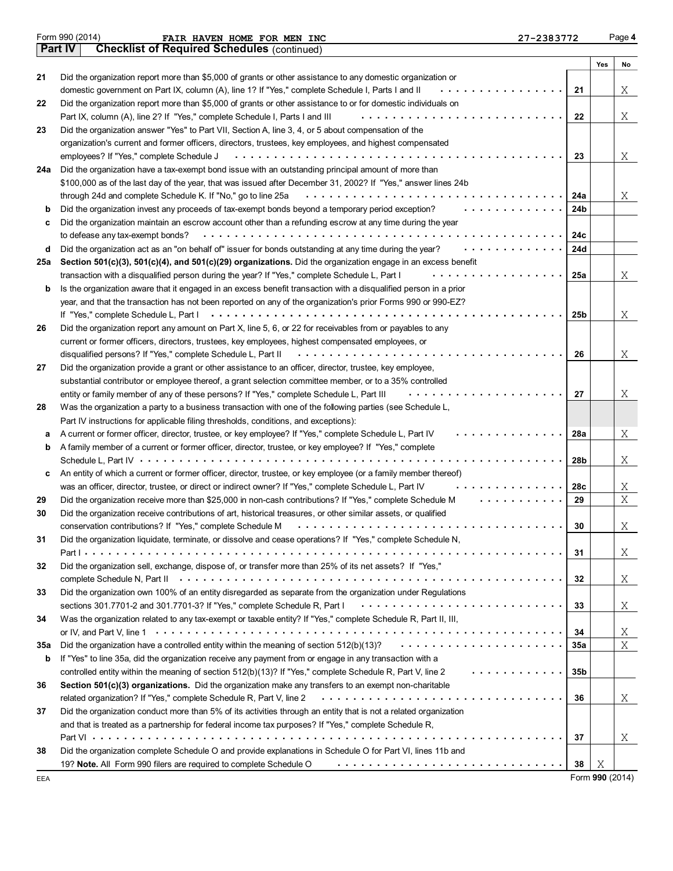|     | Form 990 (2014)<br>27-2383772<br>FAIR HAVEN HOME FOR MEN INC                                                                                                                                          |                 |                 | Page 4 |
|-----|-------------------------------------------------------------------------------------------------------------------------------------------------------------------------------------------------------|-----------------|-----------------|--------|
|     | <b>Checklist of Required Schedules (continued)</b><br><b>Part IV</b>                                                                                                                                  |                 |                 |        |
|     |                                                                                                                                                                                                       |                 | Yes             | No     |
| 21  | Did the organization report more than \$5,000 of grants or other assistance to any domestic organization or                                                                                           |                 |                 |        |
|     | domestic government on Part IX, column (A), line 1? If "Yes," complete Schedule I, Parts I and II                                                                                                     | 21              |                 | X      |
| 22  | Did the organization report more than \$5,000 of grants or other assistance to or for domestic individuals on                                                                                         |                 |                 |        |
|     | Part IX, column (A), line 2? If "Yes," complete Schedule I, Parts I and III                                                                                                                           | 22              |                 | Χ      |
| 23  | Did the organization answer "Yes" to Part VII, Section A, line 3, 4, or 5 about compensation of the                                                                                                   |                 |                 |        |
|     | organization's current and former officers, directors, trustees, key employees, and highest compensated                                                                                               |                 |                 |        |
|     | .<br>employees? If "Yes," complete Schedule J                                                                                                                                                         | 23              |                 | Χ      |
| 24a | Did the organization have a tax-exempt bond issue with an outstanding principal amount of more than                                                                                                   |                 |                 |        |
|     | \$100,000 as of the last day of the year, that was issued after December 31, 2002? If "Yes," answer lines 24b                                                                                         |                 |                 |        |
|     | through 24d and complete Schedule K. If "No," go to line 25a                                                                                                                                          | 24a             |                 | Χ      |
| b   | Did the organization invest any proceeds of tax-exempt bonds beyond a temporary period exception?                                                                                                     | 24b             |                 |        |
| c   | Did the organization maintain an escrow account other than a refunding escrow at any time during the year                                                                                             |                 |                 |        |
|     | to defease any tax-exempt bonds?                                                                                                                                                                      | 24c             |                 |        |
| d   | Did the organization act as an "on behalf of" issuer for bonds outstanding at any time during the year?                                                                                               | 24d             |                 |        |
| 25a | Section 501(c)(3), 501(c)(4), and 501(c)(29) organizations. Did the organization engage in an excess benefit                                                                                          |                 |                 |        |
|     | transaction with a disqualified person during the year? If "Yes," complete Schedule L, Part I                                                                                                         | 25a             |                 | Χ      |
| b   | Is the organization aware that it engaged in an excess benefit transaction with a disqualified person in a prior                                                                                      |                 |                 |        |
|     | year, and that the transaction has not been reported on any of the organization's prior Forms 990 or 990-EZ?                                                                                          |                 |                 |        |
|     | If "Yes," complete Schedule L, Part I                                                                                                                                                                 | 25b             |                 | Χ      |
| 26  | Did the organization report any amount on Part X, line 5, 6, or 22 for receivables from or payables to any                                                                                            |                 |                 |        |
|     | current or former officers, directors, trustees, key employees, highest compensated employees, or                                                                                                     |                 |                 |        |
|     | disqualified persons? If "Yes," complete Schedule L, Part II                                                                                                                                          | 26              |                 | Χ      |
| 27  | Did the organization provide a grant or other assistance to an officer, director, trustee, key employee,                                                                                              |                 |                 |        |
|     | substantial contributor or employee thereof, a grant selection committee member, or to a 35% controlled                                                                                               | 27              |                 | Χ      |
| 28  | entity or family member of any of these persons? If "Yes," complete Schedule L, Part III<br>Was the organization a party to a business transaction with one of the following parties (see Schedule L, |                 |                 |        |
|     |                                                                                                                                                                                                       |                 |                 |        |
|     | Part IV instructions for applicable filing thresholds, conditions, and exceptions):<br>A current or former officer, director, trustee, or key employee? If "Yes," complete Schedule L, Part IV        | 28a             |                 | X      |
| а   |                                                                                                                                                                                                       |                 |                 |        |
| b   | A family member of a current or former officer, director, trustee, or key employee? If "Yes," complete                                                                                                | 28b             |                 | X      |
|     | An entity of which a current or former officer, director, trustee, or key employee (or a family member thereof)                                                                                       |                 |                 |        |
| c   | was an officer, director, trustee, or direct or indirect owner? If "Yes," complete Schedule L, Part IV                                                                                                | 28c             |                 | Χ      |
| 29  | Did the organization receive more than \$25,000 in non-cash contributions? If "Yes," complete Schedule M                                                                                              | 29              |                 | Χ      |
| 30  | Did the organization receive contributions of art, historical treasures, or other similar assets, or qualified                                                                                        |                 |                 |        |
|     | conservation contributions? If "Yes," complete Schedule M $\cdots \cdots \cdots \cdots \cdots \cdots \cdots \cdots \cdots \cdots$                                                                     | 30              |                 | Χ      |
| 31  | Did the organization liquidate, terminate, or dissolve and cease operations? If "Yes," complete Schedule N,                                                                                           |                 |                 |        |
|     |                                                                                                                                                                                                       | 31              |                 | X      |
| 32  | Did the organization sell, exchange, dispose of, or transfer more than 25% of its net assets? If "Yes,"                                                                                               |                 |                 |        |
|     |                                                                                                                                                                                                       | 32              |                 | X      |
| 33  | Did the organization own 100% of an entity disregarded as separate from the organization under Regulations                                                                                            |                 |                 |        |
|     | sections 301.7701-2 and 301.7701-3? If "Yes," complete Schedule R, Part I                                                                                                                             | 33              |                 | Χ      |
| 34  | Was the organization related to any tax-exempt or taxable entity? If "Yes," complete Schedule R, Part II, III,                                                                                        |                 |                 |        |
|     |                                                                                                                                                                                                       | 34              |                 | Χ      |
| 35a |                                                                                                                                                                                                       | 35a             |                 | X      |
| b   | If "Yes" to line 35a, did the organization receive any payment from or engage in any transaction with a                                                                                               |                 |                 |        |
|     | controlled entity within the meaning of section 512(b)(13)? If "Yes," complete Schedule R, Part V, line 2<br>.                                                                                        | 35 <sub>b</sub> |                 |        |
| 36  | Section 501(c)(3) organizations. Did the organization make any transfers to an exempt non-charitable                                                                                                  |                 |                 |        |
|     | related organization? If "Yes," complete Schedule R, Part V, line 2                                                                                                                                   | 36              |                 | Χ      |
| 37  | Did the organization conduct more than 5% of its activities through an entity that is not a related organization                                                                                      |                 |                 |        |
|     | and that is treated as a partnership for federal income tax purposes? If "Yes," complete Schedule R,                                                                                                  |                 |                 |        |
|     |                                                                                                                                                                                                       | 37              |                 | Χ      |
| 38  | Did the organization complete Schedule O and provide explanations in Schedule O for Part VI, lines 11b and                                                                                            |                 |                 |        |
|     | 19? Note. All Form 990 filers are required to complete Schedule O                                                                                                                                     | 38              | Χ               |        |
| EEA |                                                                                                                                                                                                       |                 | Form 990 (2014) |        |

Form **990** (2014)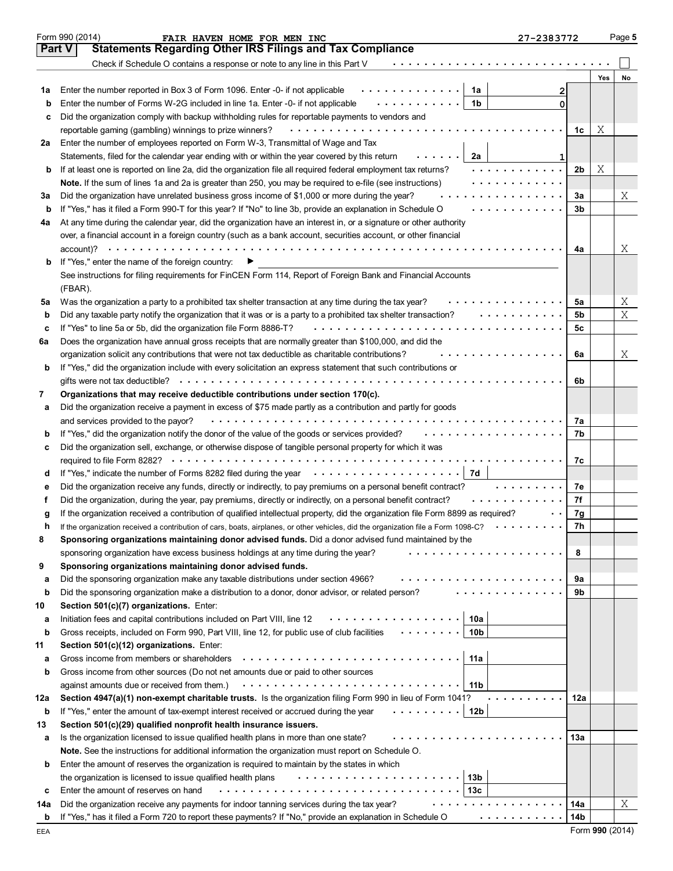|               | Form 990 (2014)<br>FAIR HAVEN HOME FOR MEN INC<br>27-2383772                                                                       |                |     | Page 5    |
|---------------|------------------------------------------------------------------------------------------------------------------------------------|----------------|-----|-----------|
| <b>Part V</b> | <b>Statements Regarding Other IRS Filings and Tax Compliance</b>                                                                   |                |     |           |
|               | Check if Schedule O contains a response or note to any line in this Part V                                                         |                |     |           |
|               |                                                                                                                                    |                | Yes | <b>No</b> |
| 1а            | Enter the number reported in Box 3 of Form 1096. Enter -0- if not applicable<br>1a<br>2                                            |                |     |           |
| b             | Enter the number of Forms W-2G included in line 1a. Enter -0- if not applicable<br>1b<br>0                                         |                |     |           |
| c             | Did the organization comply with backup withholding rules for reportable payments to vendors and                                   |                |     |           |
|               | reportable gaming (gambling) winnings to prize winners?<br>.                                                                       | 1c             | Χ   |           |
| 2a            | Enter the number of employees reported on Form W-3, Transmittal of Wage and Tax                                                    |                |     |           |
|               | Statements, filed for the calendar year ending with or within the year covered by this return<br>2a                                |                |     |           |
| b             | If at least one is reported on line 2a, did the organization file all required federal employment tax returns?                     | 2 <sub>b</sub> | X   |           |
|               | Note. If the sum of lines 1a and 2a is greater than 250, you may be required to e-file (see instructions)                          |                |     |           |
| За            | Did the organization have unrelated business gross income of \$1,000 or more during the year?                                      | За             |     | Χ         |
| b             | If "Yes," has it filed a Form 990-T for this year? If "No" to line 3b, provide an explanation in Schedule O                        | 3b             |     |           |
| 4a            | At any time during the calendar year, did the organization have an interest in, or a signature or other authority                  |                |     |           |
|               | over, a financial account in a foreign country (such as a bank account, securities account, or other financial                     |                |     |           |
|               | $acccount$ ? $\cdots$ $\cdots$ $\cdots$ $\cdots$ $\cdots$ $\cdots$ $\cdots$<br>.                                                   | 4a             |     | Χ         |
| b             | If "Yes," enter the name of the foreign country:                                                                                   |                |     |           |
|               | See instructions for filing requirements for FinCEN Form 114, Report of Foreign Bank and Financial Accounts                        |                |     |           |
|               | (FBAR).                                                                                                                            |                |     |           |
| 5a            | Was the organization a party to a prohibited tax shelter transaction at any time during the tax year?                              | 5a             |     | Χ         |
| b             | Did any taxable party notify the organization that it was or is a party to a prohibited tax shelter transaction?                   | 5b             |     | X         |
| c             | If "Yes" to line 5a or 5b, did the organization file Form 8886-T?                                                                  | 5с             |     |           |
| 6а            | Does the organization have annual gross receipts that are normally greater than \$100,000, and did the                             |                |     |           |
|               | organization solicit any contributions that were not tax deductible as charitable contributions?                                   | 6a             |     | Χ         |
| b             | If "Yes," did the organization include with every solicitation an express statement that such contributions or                     |                |     |           |
|               | gifts were not tax deductible? $\cdots$ , , , , , ,                                                                                | 6b             |     |           |
| 7             | Organizations that may receive deductible contributions under section 170(c).                                                      |                |     |           |
| a             | Did the organization receive a payment in excess of \$75 made partly as a contribution and partly for goods                        |                |     |           |
|               | and services provided to the payor?                                                                                                | 7a             |     |           |
| b             | If "Yes," did the organization notify the donor of the value of the goods or services provided?<br>.                               | 7b             |     |           |
| c             | Did the organization sell, exchange, or otherwise dispose of tangible personal property for which it was                           |                |     |           |
|               |                                                                                                                                    | 7c             |     |           |
| d             | 7d                                                                                                                                 |                |     |           |
| е             | Did the organization receive any funds, directly or indirectly, to pay premiums on a personal benefit contract?                    | 7e             |     |           |
| f             | Did the organization, during the year, pay premiums, directly or indirectly, on a personal benefit contract?                       | 7f             |     |           |
| g             | If the organization received a contribution of qualified intellectual property, did the organization file Form 8899 as required?   | 7g             |     |           |
| h             | If the organization received a contribution of cars, boats, airplanes, or other vehicles, did the organization file a Form 1098-C? | 7h             |     |           |
| 8             | Sponsoring organizations maintaining donor advised funds. Did a donor advised fund maintained by the                               |                |     |           |
|               | sponsoring organization have excess business holdings at any time during the year?                                                 | 8              |     |           |
| 9             | Sponsoring organizations maintaining donor advised funds.                                                                          |                |     |           |
| a             | Did the sponsoring organization make any taxable distributions under section 4966?                                                 | 9a             |     |           |
| b             | Did the sponsoring organization make a distribution to a donor, donor advisor, or related person?                                  | 9b             |     |           |
| 10            | Section 501(c)(7) organizations. Enter:                                                                                            |                |     |           |
| а             | 10a<br>Initiation fees and capital contributions included on Part VIII, line 12                                                    |                |     |           |
| b             | Gross receipts, included on Form 990, Part VIII, line 12, for public use of club facilities<br>10 <sub>b</sub>                     |                |     |           |
| 11            | Section 501(c)(12) organizations. Enter:                                                                                           |                |     |           |
| a             | 11a<br>Gross income from members or shareholders                                                                                   |                |     |           |
| b             | Gross income from other sources (Do not net amounts due or paid to other sources                                                   |                |     |           |
|               | against amounts due or received from them.)<br>11 b                                                                                |                |     |           |
| 12a           | Section 4947(a)(1) non-exempt charitable trusts. Is the organization filing Form 990 in lieu of Form 1041?                         | 12a            |     |           |
| b             | If "Yes," enter the amount of tax-exempt interest received or accrued during the year<br>12 <sub>b</sub>                           |                |     |           |
| 13            | Section 501(c)(29) qualified nonprofit health insurance issuers.                                                                   |                |     |           |
| а             | Is the organization licensed to issue qualified health plans in more than one state?                                               | 13а            |     |           |
|               | Note. See the instructions for additional information the organization must report on Schedule O.                                  |                |     |           |
| b             | Enter the amount of reserves the organization is required to maintain by the states in which                                       |                |     |           |
|               | .<br>13 <sub>b</sub><br>the organization is licensed to issue qualified health plans                                               |                |     |           |
| c             | 13 <sub>c</sub><br>Enter the amount of reserves on hand                                                                            |                |     |           |
| 14a           | Did the organization receive any payments for indoor tanning services during the tax year?                                         | 14a            |     | Χ         |
| b             | If "Yes," has it filed a Form 720 to report these payments? If "No," provide an explanation in Schedule O<br>.                     | 14b            |     |           |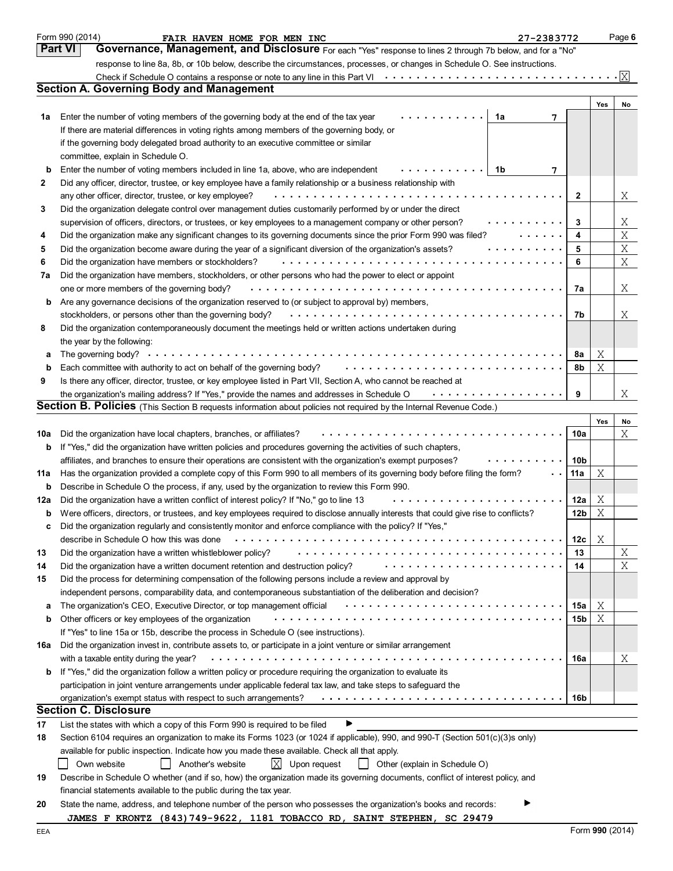|     | Form 990 (2014)<br>FAIR HAVEN HOME FOR MEN INC<br>27-2383772                                                                                                                                          |              |     | Page 6                  |
|-----|-------------------------------------------------------------------------------------------------------------------------------------------------------------------------------------------------------|--------------|-----|-------------------------|
|     | <b>Part VI</b><br>Governance, Management, and Disclosure For each "Yes" response to lines 2 through 7b below, and for a "No"                                                                          |              |     |                         |
|     | response to line 8a, 8b, or 10b below, describe the circumstances, processes, or changes in Schedule O. See instructions.                                                                             |              |     |                         |
|     | Check if Schedule O contains a response or note to any line in this Part VI                                                                                                                           |              |     | X                       |
|     | <b>Section A. Governing Body and Management</b>                                                                                                                                                       |              |     |                         |
|     |                                                                                                                                                                                                       |              | Yes | No                      |
| 1a  | Enter the number of voting members of the governing body at the end of the tax year<br>1a<br>7                                                                                                        |              |     |                         |
|     | If there are material differences in voting rights among members of the governing body, or                                                                                                            |              |     |                         |
|     | if the governing body delegated broad authority to an executive committee or similar                                                                                                                  |              |     |                         |
|     | committee, explain in Schedule O.                                                                                                                                                                     |              |     |                         |
| b   | Enter the number of voting members included in line 1a, above, who are independent<br>1b<br>7                                                                                                         |              |     |                         |
| 2   | Did any officer, director, trustee, or key employee have a family relationship or a business relationship with                                                                                        |              |     |                         |
|     | any other officer, director, trustee, or key employee?<br>$\sim$ 10 $\pm$                                                                                                                             | $\mathbf{2}$ |     | Χ                       |
| 3   | Did the organization delegate control over management duties customarily performed by or under the direct                                                                                             |              |     |                         |
|     | supervision of officers, directors, or trustees, or key employees to a management company or other person?                                                                                            | 3            |     | Χ                       |
| 4   | Did the organization make any significant changes to its governing documents since the prior Form 990 was filed?                                                                                      | 4            |     | Χ                       |
| 5   | Did the organization become aware during the year of a significant diversion of the organization's assets?                                                                                            | 5            |     | X                       |
| 6   | Did the organization have members or stockholders?<br>.                                                                                                                                               | 6            |     | Χ                       |
| 7a  | Did the organization have members, stockholders, or other persons who had the power to elect or appoint                                                                                               |              |     |                         |
|     | one or more members of the governing body?                                                                                                                                                            | 7a           |     | Χ                       |
| b   | Are any governance decisions of the organization reserved to (or subject to approval by) members,<br>stockholders, or persons other than the governing body?                                          | 7b           |     | Χ                       |
| 8   | Did the organization contemporaneously document the meetings held or written actions undertaken during                                                                                                |              |     |                         |
|     | the year by the following:                                                                                                                                                                            |              |     |                         |
| a   | The governing body? $\cdots$ , , , , ,                                                                                                                                                                | 8a           | Χ   |                         |
| b   | Each committee with authority to act on behalf of the governing body?                                                                                                                                 | 8b           | X   |                         |
| 9   | Is there any officer, director, trustee, or key employee listed in Part VII, Section A, who cannot be reached at                                                                                      |              |     |                         |
|     | the organization's mailing address? If "Yes," provide the names and addresses in Schedule O                                                                                                           | 9            |     | Χ                       |
|     | Section B. Policies (This Section B requests information about policies not required by the Internal Revenue Code.)                                                                                   |              |     |                         |
|     |                                                                                                                                                                                                       |              | Yes | No                      |
| 10a | Did the organization have local chapters, branches, or affiliates?                                                                                                                                    | 10a          |     | Χ                       |
| b   | If "Yes," did the organization have written policies and procedures governing the activities of such chapters,                                                                                        |              |     |                         |
|     | affiliates, and branches to ensure their operations are consistent with the organization's exempt purposes?                                                                                           | 10b          |     |                         |
| 11a | Has the organization provided a complete copy of this Form 990 to all members of its governing body before filing the form?                                                                           | 11a          | Χ   |                         |
| b   | Describe in Schedule O the process, if any, used by the organization to review this Form 990.                                                                                                         |              |     |                         |
| 12a | Did the organization have a written conflict of interest policy? If "No," go to line 13                                                                                                               | 12a          | Χ   |                         |
| b   | Were officers, directors, or trustees, and key employees required to disclose annually interests that could give rise to conflicts?                                                                   | 12b          | X   |                         |
| c   | Did the organization regularly and consistently monitor and enforce compliance with the policy? If "Yes,"                                                                                             |              |     |                         |
|     | describe in Schedule O how this was done<br>$\mathbf{r}$ , and $\mathbf{r}$ , and $\mathbf{r}$                                                                                                        | 12c          | Χ   |                         |
| 13  | Did the organization have a written whistleblower policy?                                                                                                                                             | 13           |     | Χ                       |
| 14  | Did the organization have a written document retention and destruction policy?                                                                                                                        | 14           |     | $\overline{\mathbf{X}}$ |
| 15  | Did the process for determining compensation of the following persons include a review and approval by                                                                                                |              |     |                         |
|     | independent persons, comparability data, and contemporaneous substantiation of the deliberation and decision?                                                                                         |              |     |                         |
| а   | The organization's CEO, Executive Director, or top management official                                                                                                                                | 15a          | Χ   |                         |
| b   | Other officers or key employees of the organization                                                                                                                                                   | 15b          | Χ   |                         |
|     | If "Yes" to line 15a or 15b, describe the process in Schedule O (see instructions).<br>Did the organization invest in, contribute assets to, or participate in a joint venture or similar arrangement |              |     |                         |
| 16a | with a taxable entity during the year?                                                                                                                                                                | 16a          |     | Χ                       |
| b   | If "Yes," did the organization follow a written policy or procedure requiring the organization to evaluate its                                                                                        |              |     |                         |
|     | participation in joint venture arrangements under applicable federal tax law, and take steps to safeguard the                                                                                         |              |     |                         |
|     | organization's exempt status with respect to such arrangements?                                                                                                                                       | 16b          |     |                         |
|     | <b>Section C. Disclosure</b>                                                                                                                                                                          |              |     |                         |
| 17  | List the states with which a copy of this Form 990 is required to be filed<br>▶                                                                                                                       |              |     |                         |
| 18  | Section 6104 requires an organization to make its Forms 1023 (or 1024 if applicable), 990, and 990-T (Section 501(c)(3)s only)                                                                        |              |     |                         |
|     | available for public inspection. Indicate how you made these available. Check all that apply.                                                                                                         |              |     |                         |
|     | Own website<br>Another's website<br>ΙXΙ<br>Upon request<br>Other (explain in Schedule O)                                                                                                              |              |     |                         |
| 19  | Describe in Schedule O whether (and if so, how) the organization made its governing documents, conflict of interest policy, and                                                                       |              |     |                         |
|     | financial statements available to the public during the tax year.                                                                                                                                     |              |     |                         |
| 20  | State the name, address, and telephone number of the person who possesses the organization's books and records:                                                                                       |              |     |                         |
|     | JAMES F KRONTZ (843) 749-9622, 1181 TOBACCO RD, SAINT STEPHEN,<br>SC 29479                                                                                                                            |              |     |                         |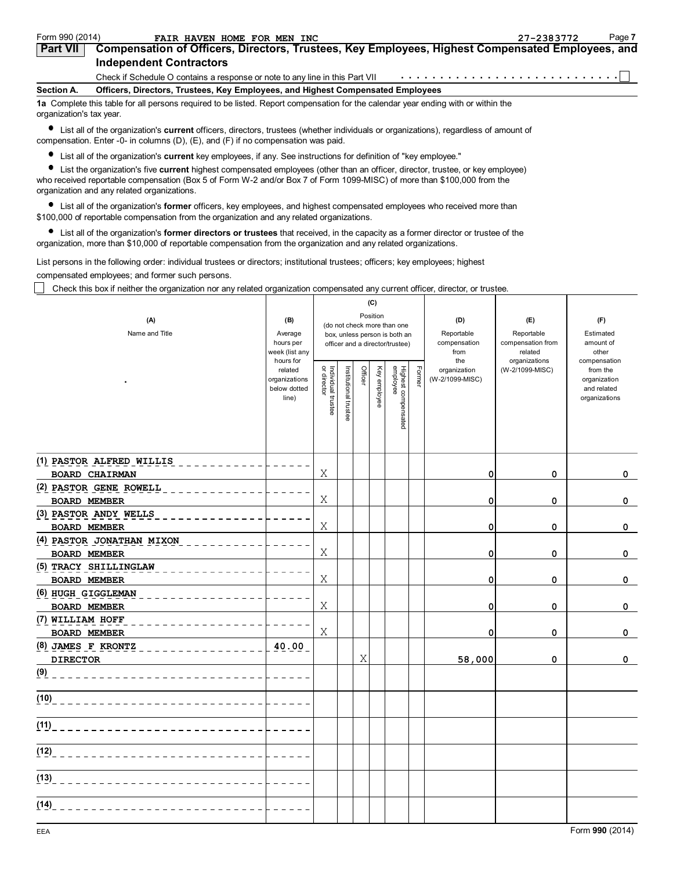| Form 990 (2014)          | FAIR HAVEN HOME FOR MEN INC                                                                                                        | 27-2383772 | Page 7 |
|--------------------------|------------------------------------------------------------------------------------------------------------------------------------|------------|--------|
| <b>Part VII</b>          | Compensation of Officers, Directors, Trustees, Key Employees, Highest Compensated Employees, and<br><b>Independent Contractors</b> |            |        |
|                          | Check if Schedule O contains a response or note to any line in this Part VII                                                       |            |        |
| Section A.               | Officers, Directors, Trustees, Key Employees, and Highest Compensated Employees                                                    |            |        |
| organization's tax year. | 1a Complete this table for all persons required to be listed. Report compensation for the calendar year ending with or within the  |            |        |

List all of the organization's **current** officers, directors, trustees (whether individuals or organizations), regardless of amount of compensation. Enter -0- in columns (D), (E), and (F) if no compensation was paid.

List all of the organization's **current** key employees, if any. See instructions for definition of "key employee."

List the organization's five **current** highest compensated employees (other than an officer, director, trustee, or key employee)

who received reportable compensation (Box 5 of Form W-2 and/or Box 7 of Form 1099-MISC) of more than \$100,000 from the organization and any related organizations.

List all of the organization's **former** officers, key employees, and highest compensated employees who received more than \$100,000 of reportable compensation from the organization and any related organizations.

List all of the organization's **former directors or trustees** that received, in the capacity as a former director or trustee of the organization, more than \$10,000 of reportable compensation from the organization and any related organizations.

List persons in the following order: individual trustees or directors; institutional trustees; officers; key employees; highest compensated employees; and former such persons.

Check this box if neither the organization nor any related organization compensated any current officer, director, or trustee.

|                                                                                                                                                                                                                                                                                                                                                                                                                                                                                                                                                                       |                       | (C)                               |               |         |              |                                                              |       |                     |                                  |                              |
|-----------------------------------------------------------------------------------------------------------------------------------------------------------------------------------------------------------------------------------------------------------------------------------------------------------------------------------------------------------------------------------------------------------------------------------------------------------------------------------------------------------------------------------------------------------------------|-----------------------|-----------------------------------|---------------|---------|--------------|--------------------------------------------------------------|-------|---------------------|----------------------------------|------------------------------|
| (A)                                                                                                                                                                                                                                                                                                                                                                                                                                                                                                                                                                   | (B)                   |                                   |               |         | Position     |                                                              |       | (D)                 | (E)                              | (F)                          |
| Name and Title                                                                                                                                                                                                                                                                                                                                                                                                                                                                                                                                                        | Average               |                                   |               |         |              | (do not check more than one<br>box, unless person is both an |       | Reportable          | Reportable                       | Estimated                    |
|                                                                                                                                                                                                                                                                                                                                                                                                                                                                                                                                                                       | hours per             |                                   |               |         |              | officer and a director/trustee)                              |       | compensation        | compensation from                | amount of                    |
|                                                                                                                                                                                                                                                                                                                                                                                                                                                                                                                                                                       | week (list any        |                                   |               |         |              |                                                              |       | from                | related                          | other                        |
|                                                                                                                                                                                                                                                                                                                                                                                                                                                                                                                                                                       | hours for<br>related  |                                   |               |         |              |                                                              |       | the<br>organization | organizations<br>(W-2/1099-MISC) | compensation<br>from the     |
|                                                                                                                                                                                                                                                                                                                                                                                                                                                                                                                                                                       | organizations         |                                   | Institutional | Officer |              |                                                              | Forme | (W-2/1099-MISC)     |                                  | organization                 |
|                                                                                                                                                                                                                                                                                                                                                                                                                                                                                                                                                                       | below dotted<br>line) |                                   |               |         | Key employee |                                                              |       |                     |                                  | and related<br>organizations |
|                                                                                                                                                                                                                                                                                                                                                                                                                                                                                                                                                                       |                       | Individual trustee<br>or director | I trustee     |         |              |                                                              |       |                     |                                  |                              |
|                                                                                                                                                                                                                                                                                                                                                                                                                                                                                                                                                                       |                       |                                   |               |         |              | Highest compensated<br>employee                              |       |                     |                                  |                              |
|                                                                                                                                                                                                                                                                                                                                                                                                                                                                                                                                                                       |                       |                                   |               |         |              |                                                              |       |                     |                                  |                              |
|                                                                                                                                                                                                                                                                                                                                                                                                                                                                                                                                                                       |                       |                                   |               |         |              |                                                              |       |                     |                                  |                              |
|                                                                                                                                                                                                                                                                                                                                                                                                                                                                                                                                                                       |                       |                                   |               |         |              |                                                              |       |                     |                                  |                              |
| <b>BOARD CHAIRMAN</b>                                                                                                                                                                                                                                                                                                                                                                                                                                                                                                                                                 |                       | Χ                                 |               |         |              |                                                              |       | $\mathbf 0$         | 0                                | 0                            |
|                                                                                                                                                                                                                                                                                                                                                                                                                                                                                                                                                                       |                       |                                   |               |         |              |                                                              |       |                     |                                  |                              |
| <b>BOARD MEMBER</b>                                                                                                                                                                                                                                                                                                                                                                                                                                                                                                                                                   |                       | X                                 |               |         |              |                                                              |       | $\mathbf 0$         | $\mathbf 0$                      | 0                            |
|                                                                                                                                                                                                                                                                                                                                                                                                                                                                                                                                                                       |                       |                                   |               |         |              |                                                              |       |                     |                                  |                              |
| <b>BOARD MEMBER</b>                                                                                                                                                                                                                                                                                                                                                                                                                                                                                                                                                   |                       | X                                 |               |         |              |                                                              |       | $\mathbf 0$         | 0                                | 0                            |
| (4) PASTOR JONATHAN MIXON                                                                                                                                                                                                                                                                                                                                                                                                                                                                                                                                             |                       |                                   |               |         |              |                                                              |       |                     |                                  |                              |
| <b>BOARD MEMBER</b>                                                                                                                                                                                                                                                                                                                                                                                                                                                                                                                                                   |                       | Χ                                 |               |         |              |                                                              |       | 0                   | 0                                | 0                            |
| (5) TRACY SHILLINGLAW<br><u>.</u>                                                                                                                                                                                                                                                                                                                                                                                                                                                                                                                                     | $\frac{1}{2}$         |                                   |               |         |              |                                                              |       |                     |                                  |                              |
| <b>BOARD MEMBER</b>                                                                                                                                                                                                                                                                                                                                                                                                                                                                                                                                                   |                       | Χ                                 |               |         |              |                                                              |       | 0                   | $\mathbf 0$                      | 0                            |
| (6) HUGH GIGGLEMAN<br><u>.</u>                                                                                                                                                                                                                                                                                                                                                                                                                                                                                                                                        |                       |                                   |               |         |              |                                                              |       |                     |                                  |                              |
| <b>BOARD MEMBER</b>                                                                                                                                                                                                                                                                                                                                                                                                                                                                                                                                                   |                       | X                                 |               |         |              |                                                              |       | $\mathbf 0$         | 0                                | 0                            |
| (7) WILLIAM HOFF<br>_______________                                                                                                                                                                                                                                                                                                                                                                                                                                                                                                                                   |                       |                                   |               |         |              |                                                              |       |                     |                                  |                              |
| <b>BOARD MEMBER</b>                                                                                                                                                                                                                                                                                                                                                                                                                                                                                                                                                   |                       | X                                 |               |         |              |                                                              |       | $\mathbf 0$         | $\mathbf 0$                      | 0                            |
| $(8)$ JAMES F KRONTZ _ _ _ _ _ _ _ _ _ _ _ _ _ _ _                                                                                                                                                                                                                                                                                                                                                                                                                                                                                                                    | 40.00                 |                                   |               |         |              |                                                              |       |                     |                                  |                              |
| <b>DIRECTOR</b>                                                                                                                                                                                                                                                                                                                                                                                                                                                                                                                                                       |                       |                                   |               | X       |              |                                                              |       | 58,000              | 0                                | 0                            |
|                                                                                                                                                                                                                                                                                                                                                                                                                                                                                                                                                                       |                       |                                   |               |         |              |                                                              |       |                     |                                  |                              |
|                                                                                                                                                                                                                                                                                                                                                                                                                                                                                                                                                                       |                       |                                   |               |         |              |                                                              |       |                     |                                  |                              |
|                                                                                                                                                                                                                                                                                                                                                                                                                                                                                                                                                                       |                       |                                   |               |         |              |                                                              |       |                     |                                  |                              |
|                                                                                                                                                                                                                                                                                                                                                                                                                                                                                                                                                                       |                       |                                   |               |         |              |                                                              |       |                     |                                  |                              |
| (11)                                                                                                                                                                                                                                                                                                                                                                                                                                                                                                                                                                  |                       |                                   |               |         |              |                                                              |       |                     |                                  |                              |
|                                                                                                                                                                                                                                                                                                                                                                                                                                                                                                                                                                       |                       |                                   |               |         |              |                                                              |       |                     |                                  |                              |
| (12)<br>and a complete the complete state of                                                                                                                                                                                                                                                                                                                                                                                                                                                                                                                          |                       |                                   |               |         |              |                                                              |       |                     |                                  |                              |
|                                                                                                                                                                                                                                                                                                                                                                                                                                                                                                                                                                       |                       |                                   |               |         |              |                                                              |       |                     |                                  |                              |
|                                                                                                                                                                                                                                                                                                                                                                                                                                                                                                                                                                       |                       |                                   |               |         |              |                                                              |       |                     |                                  |                              |
|                                                                                                                                                                                                                                                                                                                                                                                                                                                                                                                                                                       |                       |                                   |               |         |              |                                                              |       |                     |                                  |                              |
| (14)<br>$\begin{array}{cccccccccccccc} \multicolumn{2}{c}{} & \multicolumn{2}{c}{} & \multicolumn{2}{c}{} & \multicolumn{2}{c}{} & \multicolumn{2}{c}{} & \multicolumn{2}{c}{} & \multicolumn{2}{c}{} & \multicolumn{2}{c}{} & \multicolumn{2}{c}{} & \multicolumn{2}{c}{} & \multicolumn{2}{c}{} & \multicolumn{2}{c}{} & \multicolumn{2}{c}{} & \multicolumn{2}{c}{} & \multicolumn{2}{c}{} & \multicolumn{2}{c}{} & \multicolumn{2}{c}{} & \multicolumn{2}{c}{} & \multicolumn{2}{c}{} & \$<br>$\frac{1}{2}$ and $\frac{1}{2}$ and $\frac{1}{2}$ and $\frac{1}{2}$ |                       |                                   |               |         |              |                                                              |       |                     |                                  |                              |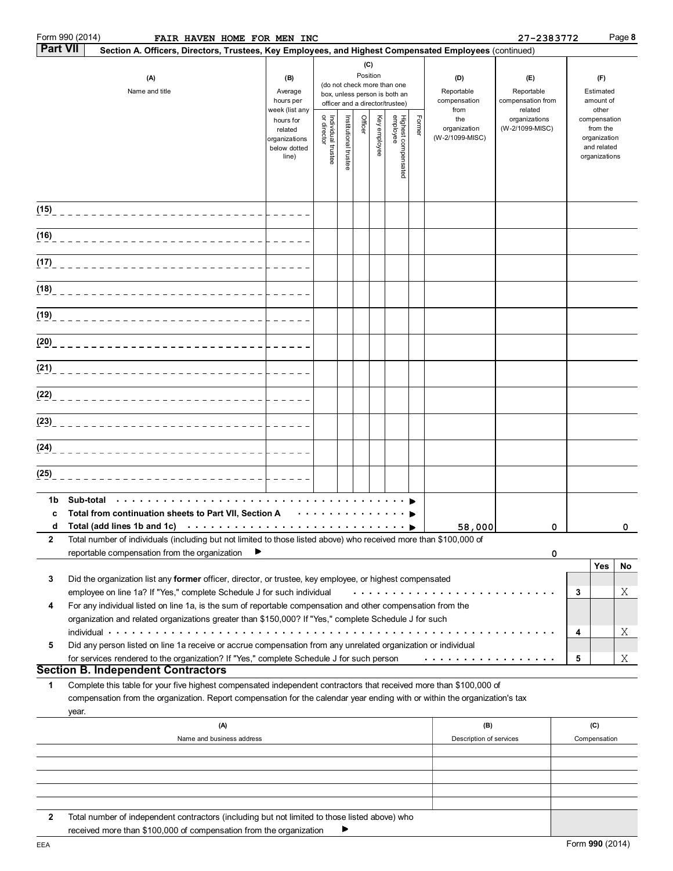Form 990 (2014) Page **8 FAIR HAVEN HOME FOR MEN INC 27-2383772**

| <b>Part VII</b> | Section A. Officers, Directors, Trustees, Key Employees, and Highest Compensated Employees (continued)                                                                                                                                                    |                                                                |                                                                                                                    |                       |         |              |                                 |        |                                                  |                                                   |                                        |                                                                          |    |
|-----------------|-----------------------------------------------------------------------------------------------------------------------------------------------------------------------------------------------------------------------------------------------------------|----------------------------------------------------------------|--------------------------------------------------------------------------------------------------------------------|-----------------------|---------|--------------|---------------------------------|--------|--------------------------------------------------|---------------------------------------------------|----------------------------------------|--------------------------------------------------------------------------|----|
|                 | (A)<br>Name and title                                                                                                                                                                                                                                     |                                                                | (C)<br>Position<br>(do not check more than one<br>box, unless person is both an<br>officer and a director/trustee) |                       |         |              |                                 |        | (D)<br>Reportable<br>compensation<br>from<br>the | (F)<br>Reportable<br>compensation from<br>related | (F)<br>Estimated<br>amount of<br>other |                                                                          |    |
|                 |                                                                                                                                                                                                                                                           | hours for<br>related<br>organizations<br>below dotted<br>line) | Individual trustee<br>or director                                                                                  | Institutional trustee | Officer | Key employee | Highest compensated<br>employee | Former | organization<br>(W-2/1099-MISC)                  | organizations<br>(W-2/1099-MISC)                  |                                        | compensation<br>from the<br>organization<br>and related<br>organizations |    |
|                 | $(15)$ <sub>-------------------------</sub>                                                                                                                                                                                                               |                                                                |                                                                                                                    |                       |         |              |                                 |        |                                                  |                                                   |                                        |                                                                          |    |
| (16)            | ---------------------------                                                                                                                                                                                                                               |                                                                |                                                                                                                    |                       |         |              |                                 |        |                                                  |                                                   |                                        |                                                                          |    |
|                 |                                                                                                                                                                                                                                                           |                                                                |                                                                                                                    |                       |         |              |                                 |        |                                                  |                                                   |                                        |                                                                          |    |
| (18)            | ---------------------------                                                                                                                                                                                                                               |                                                                |                                                                                                                    |                       |         |              |                                 |        |                                                  |                                                   |                                        |                                                                          |    |
| (19)            | ______________________________                                                                                                                                                                                                                            |                                                                |                                                                                                                    |                       |         |              |                                 |        |                                                  |                                                   |                                        |                                                                          |    |
| (20)            |                                                                                                                                                                                                                                                           |                                                                |                                                                                                                    |                       |         |              |                                 |        |                                                  |                                                   |                                        |                                                                          |    |
| (21)            | ______________________________                                                                                                                                                                                                                            |                                                                |                                                                                                                    |                       |         |              |                                 |        |                                                  |                                                   |                                        |                                                                          |    |
| (22)            | ______________________________                                                                                                                                                                                                                            |                                                                |                                                                                                                    |                       |         |              |                                 |        |                                                  |                                                   |                                        |                                                                          |    |
|                 |                                                                                                                                                                                                                                                           |                                                                |                                                                                                                    |                       |         |              |                                 |        |                                                  |                                                   |                                        |                                                                          |    |
|                 |                                                                                                                                                                                                                                                           |                                                                |                                                                                                                    |                       |         |              |                                 |        |                                                  |                                                   |                                        |                                                                          |    |
| (25)            |                                                                                                                                                                                                                                                           |                                                                |                                                                                                                    |                       |         |              |                                 |        |                                                  |                                                   |                                        |                                                                          |    |
| 1b<br>c         | Total from continuation sheets to Part VII, Section A                                                                                                                                                                                                     |                                                                | .                                                                                                                  |                       |         |              |                                 |        |                                                  |                                                   |                                        |                                                                          |    |
| d<br>2          | Total (add lines 1b and 1c) $\cdots \cdots \cdots \cdots \cdots \cdots \cdots \cdots \cdots \cdots$<br>Total number of individuals (including but not limited to those listed above) who received more than \$100,000 of                                  |                                                                |                                                                                                                    |                       |         |              |                                 |        | 58,000                                           | $\mathbf 0$                                       |                                        |                                                                          | 0  |
|                 | reportable compensation from the organization                                                                                                                                                                                                             |                                                                |                                                                                                                    |                       |         |              |                                 |        |                                                  | 0                                                 |                                        | Yes                                                                      | No |
| 3               | Did the organization list any former officer, director, or trustee, key employee, or highest compensated<br>employee on line 1a? If "Yes," complete Schedule J for such individual                                                                        |                                                                |                                                                                                                    |                       |         |              |                                 |        |                                                  |                                                   | 3                                      |                                                                          | Χ  |
| 4               | For any individual listed on line 1a, is the sum of reportable compensation and other compensation from the                                                                                                                                               |                                                                |                                                                                                                    |                       |         |              |                                 |        |                                                  |                                                   |                                        |                                                                          |    |
|                 | organization and related organizations greater than \$150,000? If "Yes," complete Schedule J for such                                                                                                                                                     |                                                                |                                                                                                                    |                       |         |              |                                 |        |                                                  |                                                   | 4                                      |                                                                          | Χ  |
| 5               | Did any person listed on line 1a receive or accrue compensation from any unrelated organization or individual<br>for services rendered to the organization? If "Yes," complete Schedule J for such person                                                 |                                                                |                                                                                                                    |                       |         |              |                                 |        |                                                  |                                                   | 5                                      |                                                                          | Χ  |
|                 | <b>Section B. Independent Contractors</b>                                                                                                                                                                                                                 |                                                                |                                                                                                                    |                       |         |              |                                 |        |                                                  |                                                   |                                        |                                                                          |    |
| 1               | Complete this table for your five highest compensated independent contractors that received more than \$100,000 of<br>compensation from the organization. Report compensation for the calendar year ending with or within the organization's tax<br>year. |                                                                |                                                                                                                    |                       |         |              |                                 |        |                                                  |                                                   |                                        |                                                                          |    |
|                 | (A)<br>Name and business address                                                                                                                                                                                                                          |                                                                |                                                                                                                    |                       |         |              |                                 |        | (B)<br>Description of services                   |                                                   |                                        | (C)<br>Compensation                                                      |    |
|                 |                                                                                                                                                                                                                                                           |                                                                |                                                                                                                    |                       |         |              |                                 |        |                                                  |                                                   |                                        |                                                                          |    |
|                 |                                                                                                                                                                                                                                                           |                                                                |                                                                                                                    |                       |         |              |                                 |        |                                                  |                                                   |                                        |                                                                          |    |
|                 |                                                                                                                                                                                                                                                           |                                                                |                                                                                                                    |                       |         |              |                                 |        |                                                  |                                                   |                                        |                                                                          |    |
| 2               | Total number of independent contractors (including but not limited to those listed above) who                                                                                                                                                             |                                                                |                                                                                                                    |                       |         |              |                                 |        |                                                  |                                                   |                                        |                                                                          |    |

 $\blacktriangleright$ 

received more than \$100,000 of compensation from the organization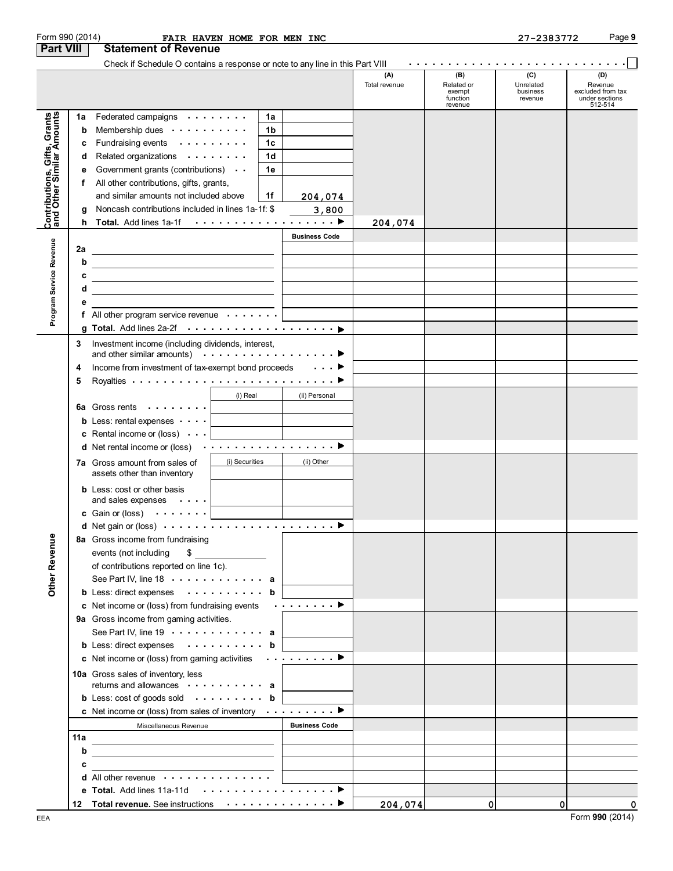|           | Form 990 (2014)                                                                        | FAIR HAVEN HOME FOR MEN INC |                      |                      |                                                    | 27-2383772                              | Page 9                                                           |
|-----------|----------------------------------------------------------------------------------------|-----------------------------|----------------------|----------------------|----------------------------------------------------|-----------------------------------------|------------------------------------------------------------------|
| Part VIII | <b>Statement of Revenue</b>                                                            |                             |                      |                      |                                                    |                                         |                                                                  |
|           | Check if Schedule O contains a response or note to any line in this Part VIII          |                             |                      | (A)<br>Total revenue | (B)<br>Related or<br>exempt<br>function<br>revenue | (C)<br>Unrelated<br>business<br>revenue | (D)<br>Revenue<br>excluded from tax<br>under sections<br>512-514 |
| 1a        | Federated campaigns                                                                    | 1a                          |                      |                      |                                                    |                                         |                                                                  |
|           | Membership dues<br>b                                                                   | 1b                          |                      |                      |                                                    |                                         |                                                                  |
| c         | Fundraising events                                                                     | 1c                          |                      |                      |                                                    |                                         |                                                                  |
|           | Related organizations<br>d                                                             | 1d                          |                      |                      |                                                    |                                         |                                                                  |
| е         | Government grants (contributions)                                                      | 1e                          |                      |                      |                                                    |                                         |                                                                  |
| f.        | All other contributions, gifts, grants,                                                |                             |                      |                      |                                                    |                                         |                                                                  |
|           | and similar amounts not included above                                                 | 1f                          | 204,074              |                      |                                                    |                                         |                                                                  |
|           | Noncash contributions included in lines 1a-1f: \$<br>g                                 |                             | 3,800                |                      |                                                    |                                         |                                                                  |
|           | Total. Add lines 1a-1f ▶<br>h.                                                         |                             |                      | 204,074              |                                                    |                                         |                                                                  |
|           |                                                                                        |                             | <b>Business Code</b> |                      |                                                    |                                         |                                                                  |
| 2a        |                                                                                        |                             |                      |                      |                                                    |                                         |                                                                  |
|           | b<br><u> 1980 - Johann Barn, fransk politik (d. 1980)</u>                              |                             |                      |                      |                                                    |                                         |                                                                  |
| c         |                                                                                        |                             |                      |                      |                                                    |                                         |                                                                  |
|           | d                                                                                      |                             |                      |                      |                                                    |                                         |                                                                  |
| е         |                                                                                        |                             |                      |                      |                                                    |                                         |                                                                  |
|           | f All other program service revenue $\cdots$                                           |                             |                      |                      |                                                    |                                         |                                                                  |
|           |                                                                                        |                             |                      |                      |                                                    |                                         |                                                                  |
| 3         | Investment income (including dividends, interest,<br>and other similar amounts) ▶      |                             |                      |                      |                                                    |                                         |                                                                  |
|           | Income from investment of tax-exempt bond proceeds                                     |                             | .                    |                      |                                                    |                                         |                                                                  |
| 4<br>5    |                                                                                        |                             |                      |                      |                                                    |                                         |                                                                  |
|           |                                                                                        |                             |                      |                      |                                                    |                                         |                                                                  |
|           | 6a Gross rents                                                                         | (i) Real                    | (ii) Personal        |                      |                                                    |                                         |                                                                  |
|           | <b>b</b> Less: rental expenses $\cdots$                                                |                             |                      |                      |                                                    |                                         |                                                                  |
|           | <b>c</b> Rental income or (loss) $\cdot \cdot \cdot$                                   |                             |                      |                      |                                                    |                                         |                                                                  |
|           | d Net rental income or (loss) (a) and a series are all the Net rental income or (loss) |                             |                      |                      |                                                    |                                         |                                                                  |
|           | 7a Gross amount from sales of                                                          | (i) Securities              | (ii) Other           |                      |                                                    |                                         |                                                                  |
|           | assets other than inventory                                                            |                             |                      |                      |                                                    |                                         |                                                                  |
|           | <b>b</b> Less: cost or other basis                                                     |                             |                      |                      |                                                    |                                         |                                                                  |
|           | and sales expenses<br>$\sim$ 100 $\sim$ 100 $\sim$                                     |                             |                      |                      |                                                    |                                         |                                                                  |
|           | <b>c</b> Gain or (loss) $\cdots$                                                       |                             | ▶                    |                      |                                                    |                                         |                                                                  |
|           | 8a Gross income from fundraising                                                       |                             |                      |                      |                                                    |                                         |                                                                  |
|           | events (not including<br>$\frac{1}{2}$                                                 |                             |                      |                      |                                                    |                                         |                                                                  |
|           | of contributions reported on line 1c).                                                 |                             |                      |                      |                                                    |                                         |                                                                  |
|           | See Part IV, line $18 \cdot \cdot \cdot \cdot \cdot \cdot \cdot \cdot \cdot \cdot$ a   |                             |                      |                      |                                                    |                                         |                                                                  |
|           | b Less: direct expenses b                                                              |                             |                      |                      |                                                    |                                         |                                                                  |
|           | c Net income or (loss) from fundraising events ▶                                       |                             |                      |                      |                                                    |                                         |                                                                  |
|           | 9a Gross income from gaming activities.                                                |                             |                      |                      |                                                    |                                         |                                                                  |
|           | See Part IV, line $19 \cdot \cdot \cdot \cdot \cdot \cdot \cdot \cdot \cdot \cdot$ a   |                             |                      |                      |                                                    |                                         |                                                                  |
|           | b Less: direct expenses b                                                              |                             |                      |                      |                                                    |                                         |                                                                  |
|           |                                                                                        |                             |                      |                      |                                                    |                                         |                                                                  |
|           | 10a Gross sales of inventory, less                                                     |                             |                      |                      |                                                    |                                         |                                                                  |
|           | returns and allowances $\cdots$ ,  a                                                   |                             |                      |                      |                                                    |                                         |                                                                  |
|           | <b>b</b> Less: cost of goods sold $\cdots$ <b>b</b>                                    |                             |                      |                      |                                                    |                                         |                                                                  |
|           | c Net income or (loss) from sales of inventory $\dots \dots \dots$                     |                             |                      |                      |                                                    |                                         |                                                                  |
|           | Miscellaneous Revenue                                                                  |                             | <b>Business Code</b> |                      |                                                    |                                         |                                                                  |
| 11a       |                                                                                        |                             |                      |                      |                                                    |                                         |                                                                  |
|           | b<br><u> 1980 - Andrea Andrew Maria (h. 1980).</u>                                     |                             |                      |                      |                                                    |                                         |                                                                  |
| c         |                                                                                        |                             |                      |                      |                                                    |                                         |                                                                  |
|           | d All other revenue                                                                    |                             |                      |                      |                                                    |                                         |                                                                  |
|           | e Total. Add lines 11a-11d (a) ▶                                                       |                             |                      |                      |                                                    |                                         |                                                                  |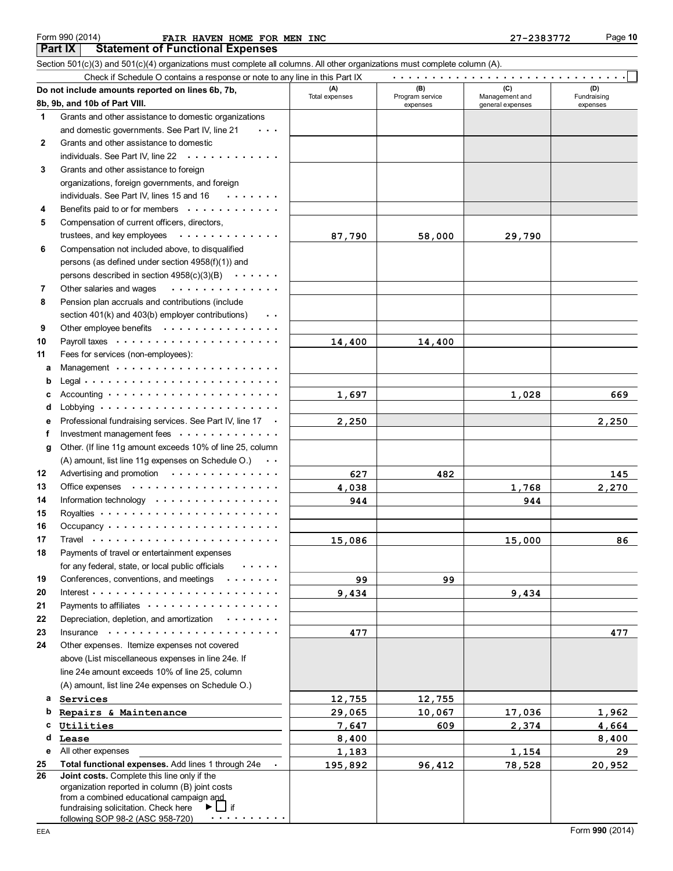## Form 990 (2014) Page **10 FAIR HAVEN HOME FOR MEN INC 27-2383772**

|              | Section 501(c)(3) and 501(c)(4) organizations must complete all columns. All other organizations must complete column (A). |                |                 |                  |             |
|--------------|----------------------------------------------------------------------------------------------------------------------------|----------------|-----------------|------------------|-------------|
|              | Check if Schedule O contains a response or note to any line in this Part IX                                                | (A)            | (B)             | (C)              | (D)         |
|              | Do not include amounts reported on lines 6b, 7b,                                                                           | Total expenses | Program service | Management and   | Fundraising |
|              | 8b, 9b, and 10b of Part VIII.                                                                                              |                | expenses        | general expenses | expenses    |
| 1            | Grants and other assistance to domestic organizations<br>and domestic governments. See Part IV, line 21                    |                |                 |                  |             |
| $\mathbf{2}$ | Grants and other assistance to domestic                                                                                    |                |                 |                  |             |
|              | individuals. See Part IV, line 22                                                                                          |                |                 |                  |             |
| 3            | Grants and other assistance to foreign                                                                                     |                |                 |                  |             |
|              | organizations, foreign governments, and foreign                                                                            |                |                 |                  |             |
|              | individuals. See Part IV, lines 15 and 16<br>$\alpha$ , $\alpha$ , $\alpha$ , $\alpha$ , $\alpha$                          |                |                 |                  |             |
| 4            | Benefits paid to or for members                                                                                            |                |                 |                  |             |
| 5            | Compensation of current officers, directors,                                                                               |                |                 |                  |             |
|              | trustees, and key employees $\cdots$ ,                                                                                     | 87,790         | 58,000          | 29,790           |             |
| 6            | Compensation not included above, to disqualified                                                                           |                |                 |                  |             |
|              | persons (as defined under section 4958(f)(1)) and                                                                          |                |                 |                  |             |
|              | persons described in section $4958(c)(3)(B) \cdot \cdot \cdot \cdot \cdot$                                                 |                |                 |                  |             |
| 7            | Other salaries and wages<br>.                                                                                              |                |                 |                  |             |
| 8            | Pension plan accruals and contributions (include                                                                           |                |                 |                  |             |
|              | section 401(k) and 403(b) employer contributions)<br>$\sim$ $\sim$                                                         |                |                 |                  |             |
| 9            | Other employee benefits                                                                                                    |                |                 |                  |             |
| 10           |                                                                                                                            | 14,400         | 14,400          |                  |             |
| 11           | Fees for services (non-employees):                                                                                         |                |                 |                  |             |
| а            |                                                                                                                            |                |                 |                  |             |
| b            |                                                                                                                            |                |                 |                  |             |
| c            |                                                                                                                            | 1,697          |                 | 1,028            | 669         |
| d            |                                                                                                                            |                |                 |                  |             |
| е            | Professional fundraising services. See Part IV, line 17 .                                                                  | 2,250          |                 |                  | 2,250       |
| f            | Investment management fees                                                                                                 |                |                 |                  |             |
| g            | Other. (If line 11g amount exceeds 10% of line 25, column                                                                  |                |                 |                  |             |
|              | (A) amount, list line 11g expenses on Schedule O.) $\cdot \cdot$                                                           |                |                 |                  |             |
| 12           | Advertising and promotion $\cdots$ ,                                                                                       | 627            | 482             |                  | 145         |
| 13           |                                                                                                                            | 4,038          |                 | 1,768            | 2,270       |
| 14           | Information technology                                                                                                     | 944            |                 | 944              |             |
| 15           |                                                                                                                            |                |                 |                  |             |
| 16           |                                                                                                                            |                |                 |                  |             |
| 17           |                                                                                                                            | 15,086         |                 | 15,000           | 86          |
| 18           | Payments of travel or entertainment expenses                                                                               |                |                 |                  |             |
|              | for any federal, state, or local public officials<br>$\mathbf{r}$ , and $\mathbf{r}$ , and $\mathbf{r}$                    |                |                 |                  |             |
| 19           | Conferences, conventions, and meetings<br>.                                                                                | 99             | 99              |                  |             |
| 20           |                                                                                                                            | 9,434          |                 | 9,434            |             |
| 21           | Payments to affiliates                                                                                                     |                |                 |                  |             |
| 22           | Depreciation, depletion, and amortization $\cdots$ ,                                                                       |                |                 |                  |             |
| 23           | Insurance $\cdots$ , $\cdots$ , $\cdots$ , $\cdots$ , $\cdots$ , $\cdots$ , $\cdots$ , $\cdots$                            | 477            |                 |                  | 477         |
| 24           | Other expenses. Itemize expenses not covered                                                                               |                |                 |                  |             |
|              | above (List miscellaneous expenses in line 24e. If                                                                         |                |                 |                  |             |
|              | line 24e amount exceeds 10% of line 25, column                                                                             |                |                 |                  |             |
|              | (A) amount, list line 24e expenses on Schedule O.)                                                                         |                |                 |                  |             |
| а            | Services                                                                                                                   | 12,755         | 12,755          |                  |             |
| b            | Repairs & Maintenance                                                                                                      | 29,065         | 10,067          | 17,036           | 1,962       |
| с            | Utilities                                                                                                                  | 7,647          | 609             | 2,374            | 4,664       |
| d            | Lease                                                                                                                      | 8,400          |                 |                  | 8,400       |
| е            | All other expenses                                                                                                         | 1,183          |                 | 1,154            | 29          |
| 25           | Total functional expenses. Add lines 1 through 24e                                                                         | 195,892        | 96,412          | 78,528           | 20,952      |
| 26           | Joint costs. Complete this line only if the<br>organization reported in column (B) joint costs                             |                |                 |                  |             |
|              | from a combined educational campaign and                                                                                   |                |                 |                  |             |
|              | fundraising solicitation. Check here<br>▶ 凵 if                                                                             |                |                 |                  |             |
|              | following SOP 98-2 (ASC 958-720)<br>.                                                                                      |                |                 |                  |             |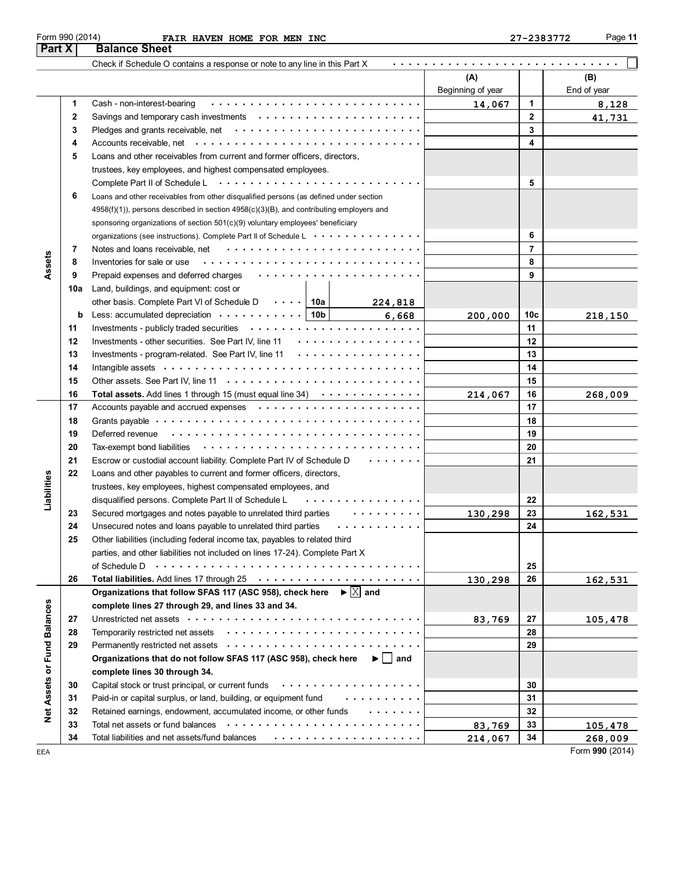| Form 990 (2014) | <b>INC</b><br><b>HAVEN HOME</b><br>FOR MEN<br><b>FAIR</b> | -2383772<br>ົາ 7 – | Page 11 |
|-----------------|-----------------------------------------------------------|--------------------|---------|
| <b>Part X</b>   | <b>Balance Sheet</b>                                      |                    |         |

|                             | Check if Schedule O contains a response or note to any line in this Part X |                                                                                                                                                                                                                               |                   |                |                 |  |  |
|-----------------------------|----------------------------------------------------------------------------|-------------------------------------------------------------------------------------------------------------------------------------------------------------------------------------------------------------------------------|-------------------|----------------|-----------------|--|--|
|                             |                                                                            |                                                                                                                                                                                                                               | (A)               |                | (B)             |  |  |
|                             |                                                                            |                                                                                                                                                                                                                               | Beginning of year |                | End of year     |  |  |
|                             | 1                                                                          | Cash - non-interest-bearing                                                                                                                                                                                                   | 14,067            | 1              | 8,128           |  |  |
|                             | $\mathbf 2$                                                                | Savings and temporary cash investments $\cdots \cdots \cdots \cdots \cdots \cdots \cdots$                                                                                                                                     |                   | $\mathbf{2}$   | 41,731          |  |  |
|                             | 3                                                                          |                                                                                                                                                                                                                               |                   | 3              |                 |  |  |
|                             | 4                                                                          |                                                                                                                                                                                                                               |                   | 4              |                 |  |  |
|                             | 5                                                                          | Loans and other receivables from current and former officers, directors,                                                                                                                                                      |                   |                |                 |  |  |
|                             |                                                                            | trustees, key employees, and highest compensated employees.                                                                                                                                                                   |                   |                |                 |  |  |
|                             |                                                                            |                                                                                                                                                                                                                               |                   | 5              |                 |  |  |
|                             | 6                                                                          | Loans and other receivables from other disqualified persons (as defined under section                                                                                                                                         |                   |                |                 |  |  |
|                             |                                                                            | $4958(f)(1)$ ), persons described in section $4958(c)(3)(B)$ , and contributing employers and                                                                                                                                 |                   |                |                 |  |  |
|                             |                                                                            | sponsoring organizations of section $501(c)(9)$ voluntary employees' beneficiary                                                                                                                                              |                   |                |                 |  |  |
|                             |                                                                            | organizations (see instructions). Complete Part II of Schedule L                                                                                                                                                              |                   | 6              |                 |  |  |
|                             | 7                                                                          | Notes and loans receivable, net                                                                                                                                                                                               |                   | $\overline{7}$ |                 |  |  |
| Assets                      | 8                                                                          | Inventories for sale or use                                                                                                                                                                                                   |                   | 8              |                 |  |  |
|                             | 9                                                                          | Prepaid expenses and deferred charges                                                                                                                                                                                         |                   | 9              |                 |  |  |
|                             | 10a                                                                        | Land, buildings, and equipment: cost or                                                                                                                                                                                       |                   |                |                 |  |  |
|                             |                                                                            | other basis. Complete Part VI of Schedule D $\cdots$ 10a<br>224,818                                                                                                                                                           |                   |                |                 |  |  |
|                             | b                                                                          | Less: accumulated depreciation $\cdots \cdots \cdots$ 10b<br>6,668                                                                                                                                                            | 200,000           | 10c            | 218,150         |  |  |
|                             | 11                                                                         |                                                                                                                                                                                                                               |                   | 11             |                 |  |  |
|                             | 12                                                                         | Investments - other securities. See Part IV, line $11 \cdot \cdot \cdot \cdot \cdot \cdot \cdot \cdot \cdot \cdot \cdot \cdot \cdot \cdot \cdot \cdot$                                                                        |                   | 12             |                 |  |  |
|                             | 13                                                                         | Investments - program-related. See Part IV, line 11                                                                                                                                                                           |                   | 13             |                 |  |  |
|                             | 14                                                                         | Intangible assets www.watchestra.com/watchestra.com/watchestra.com/watchestra.com/watchestra.com/watchestra.com/                                                                                                              |                   | 14             |                 |  |  |
|                             | 15                                                                         |                                                                                                                                                                                                                               |                   | 15             |                 |  |  |
|                             | 16                                                                         | <b>Total assets.</b> Add lines 1 through 15 (must equal line $34$ ) $\cdots$ $\cdots$ $\cdots$ $\cdots$                                                                                                                       | 214,067           | 16             | 268,009         |  |  |
|                             | 17                                                                         |                                                                                                                                                                                                                               |                   | 17             |                 |  |  |
|                             | 18                                                                         |                                                                                                                                                                                                                               |                   | 18             |                 |  |  |
|                             | 19                                                                         | Deferred revenue enterprise research and response research and response response to the person response to the                                                                                                                |                   | 19             |                 |  |  |
|                             | 20                                                                         |                                                                                                                                                                                                                               |                   | 20             |                 |  |  |
|                             | 21                                                                         | Escrow or custodial account liability. Complete Part IV of Schedule D<br>$\begin{array}{cccccccccccccc} \bullet & \bullet & \bullet & \bullet & \bullet & \bullet & \bullet & \bullet & \bullet & \bullet \end{array}$        |                   | 21             |                 |  |  |
|                             | 22                                                                         | Loans and other payables to current and former officers, directors,                                                                                                                                                           |                   |                |                 |  |  |
|                             |                                                                            | trustees, key employees, highest compensated employees, and                                                                                                                                                                   |                   |                |                 |  |  |
| Liabilities                 |                                                                            | disqualified persons. Complete Part II of Schedule L<br>.                                                                                                                                                                     |                   | 22             |                 |  |  |
|                             | 23                                                                         | Secured mortgages and notes payable to unrelated third parties                                                                                                                                                                | 130,298           | 23             | 162,531         |  |  |
|                             | 24                                                                         | Unsecured notes and loans payable to unrelated third parties<br>.                                                                                                                                                             |                   | 24             |                 |  |  |
|                             | 25                                                                         | Other liabilities (including federal income tax, payables to related third                                                                                                                                                    |                   |                |                 |  |  |
|                             |                                                                            | parties, and other liabilities not included on lines 17-24). Complete Part X                                                                                                                                                  |                   |                |                 |  |  |
|                             |                                                                            | of Schedule D                                                                                                                                                                                                                 |                   | 25             |                 |  |  |
|                             | 26                                                                         |                                                                                                                                                                                                                               | 130,298           | 26             | 162,531         |  |  |
|                             |                                                                            | Organizations that follow SFAS 117 (ASC 958), check here $\blacktriangleright \boxed{\times}$ and                                                                                                                             |                   |                |                 |  |  |
|                             |                                                                            | complete lines 27 through 29, and lines 33 and 34.                                                                                                                                                                            |                   |                |                 |  |  |
|                             | 27                                                                         |                                                                                                                                                                                                                               | 83,769            | 27             | 105,478         |  |  |
|                             | 28                                                                         |                                                                                                                                                                                                                               |                   | 28<br>29       |                 |  |  |
|                             | 29                                                                         | $\blacktriangleright$   and                                                                                                                                                                                                   |                   |                |                 |  |  |
|                             |                                                                            | Organizations that do not follow SFAS 117 (ASC 958), check here<br>complete lines 30 through 34.                                                                                                                              |                   |                |                 |  |  |
|                             |                                                                            | Capital stock or trust principal, or current funds                                                                                                                                                                            |                   | 30             |                 |  |  |
| Net Assets or Fund Balances | 30<br>31                                                                   | Paid-in or capital surplus, or land, building, or equipment fund<br>. <b>.</b>                                                                                                                                                |                   | 31             |                 |  |  |
|                             | 32                                                                         | Retained earnings, endowment, accumulated income, or other funds                                                                                                                                                              |                   | 32             |                 |  |  |
|                             | 33                                                                         |                                                                                                                                                                                                                               | 83,769            | 33             | 105,478         |  |  |
|                             | 34                                                                         | Total liabilities and net assets/fund balances extending the set of the set of the set of the set of the set of the set of the set of the set of the set of the set of the set of the set of the set of the set of the set of | 214,067           | 34             | 268,009         |  |  |
| EEA                         |                                                                            |                                                                                                                                                                                                                               |                   |                | Form 990 (2014) |  |  |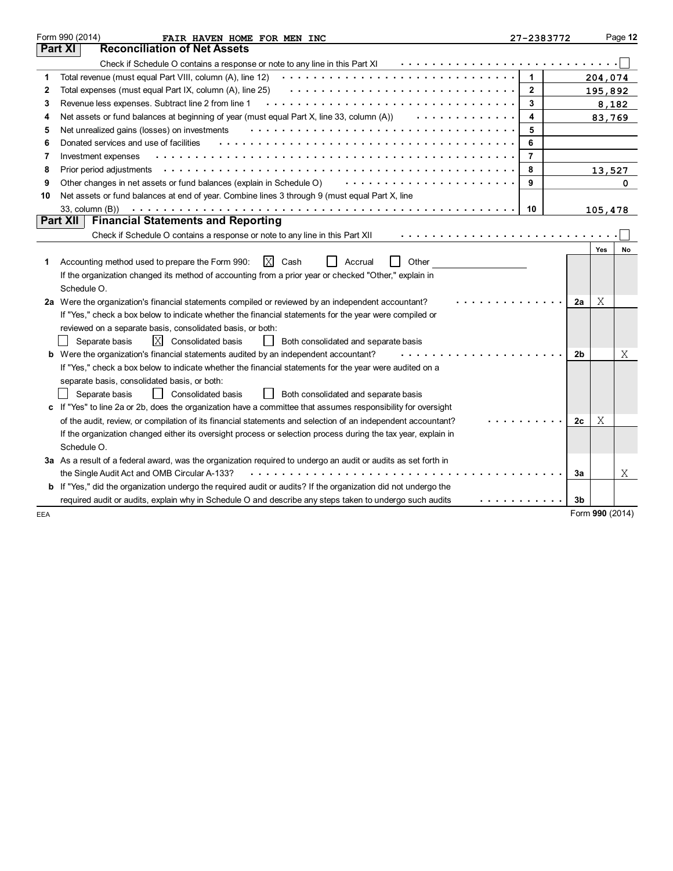|    | Form 990 (2014)<br>FAIR HAVEN HOME FOR MEN INC                                                                 | 27-2383772     |                |         | Page 12      |
|----|----------------------------------------------------------------------------------------------------------------|----------------|----------------|---------|--------------|
|    | <b>Reconciliation of Net Assets</b><br><b>Part XI</b>                                                          |                |                |         |              |
|    | Check if Schedule O contains a response or note to any line in this Part XI                                    |                |                |         |              |
| 1  | Total revenue (must equal Part VIII, column (A), line 12)                                                      | 1              |                | 204,074 |              |
| 2  | Total expenses (must equal Part IX, column (A), line 25)                                                       | $\mathbf{2}$   |                | 195,892 |              |
| 3  | Revenue less expenses. Subtract line 2 from line 1                                                             | 3              |                |         | 8,182        |
| 4  | Net assets or fund balances at beginning of year (must equal Part X, line 33, column (A))<br>.                 | 4              |                | 83,769  |              |
| 5  | Net unrealized gains (losses) on investments                                                                   | 5              |                |         |              |
| 6  | Donated services and use of facilities                                                                         | 6              |                |         |              |
| 7  | Investment expenses                                                                                            | $\overline{7}$ |                |         |              |
| 8  | Prior period adjustments                                                                                       | 8              |                | 13,527  |              |
| 9  | Other changes in net assets or fund balances (explain in Schedule O)                                           | 9              |                |         | 0            |
| 10 | Net assets or fund balances at end of year. Combine lines 3 through 9 (must equal Part X, line                 |                |                |         |              |
|    | 33, column (B))                                                                                                | 10             |                | 105,478 |              |
|    | <b>Part XII</b><br><b>Financial Statements and Reporting</b>                                                   |                |                |         |              |
|    | Check if Schedule O contains a response or note to any line in this Part XII                                   |                |                |         |              |
|    |                                                                                                                |                |                | Yes     | No           |
| 1  | ΙX<br>Accounting method used to prepare the Form 990:<br>Cash<br>Accrual<br>Other                              |                |                |         |              |
|    | If the organization changed its method of accounting from a prior year or checked "Other," explain in          |                |                |         |              |
|    | Schedule O.                                                                                                    |                |                |         |              |
|    | 2a Were the organization's financial statements compiled or reviewed by an independent accountant?             |                | 2a             | Χ       |              |
|    | If "Yes," check a box below to indicate whether the financial statements for the year were compiled or         |                |                |         |              |
|    | reviewed on a separate basis, consolidated basis, or both:                                                     |                |                |         |              |
|    | ΙXΙ<br>Separate basis<br><b>Consolidated basis</b><br>Both consolidated and separate basis                     |                |                |         |              |
|    | <b>b</b> Were the organization's financial statements audited by an independent accountant?                    |                | 2b             |         | Χ            |
|    | If "Yes," check a box below to indicate whether the financial statements for the year were audited on a        |                |                |         |              |
|    | separate basis, consolidated basis, or both:                                                                   |                |                |         |              |
|    | Separate basis<br><b>Consolidated basis</b><br>Both consolidated and separate basis                            |                |                |         |              |
|    | c If "Yes" to line 2a or 2b, does the organization have a committee that assumes responsibility for oversight  |                |                |         |              |
|    | of the audit, review, or compilation of its financial statements and selection of an independent accountant?   |                | 2c             | Χ       |              |
|    | If the organization changed either its oversight process or selection process during the tax year, explain in  |                |                |         |              |
|    | Schedule O.                                                                                                    |                |                |         |              |
|    | 3a As a result of a federal award, was the organization required to undergo an audit or audits as set forth in |                |                |         |              |
|    | the Single Audit Act and OMB Circular A-133?                                                                   |                | 3a             |         | Χ            |
|    | b If "Yes," did the organization undergo the required audit or audits? If the organization did not undergo the |                |                |         |              |
|    | required audit or audits, explain why in Schedule O and describe any steps taken to undergo such audits        | .              | 3 <sub>b</sub> |         |              |
|    |                                                                                                                |                |                |         | 0.00 (0.014) |

Form **990** (2014)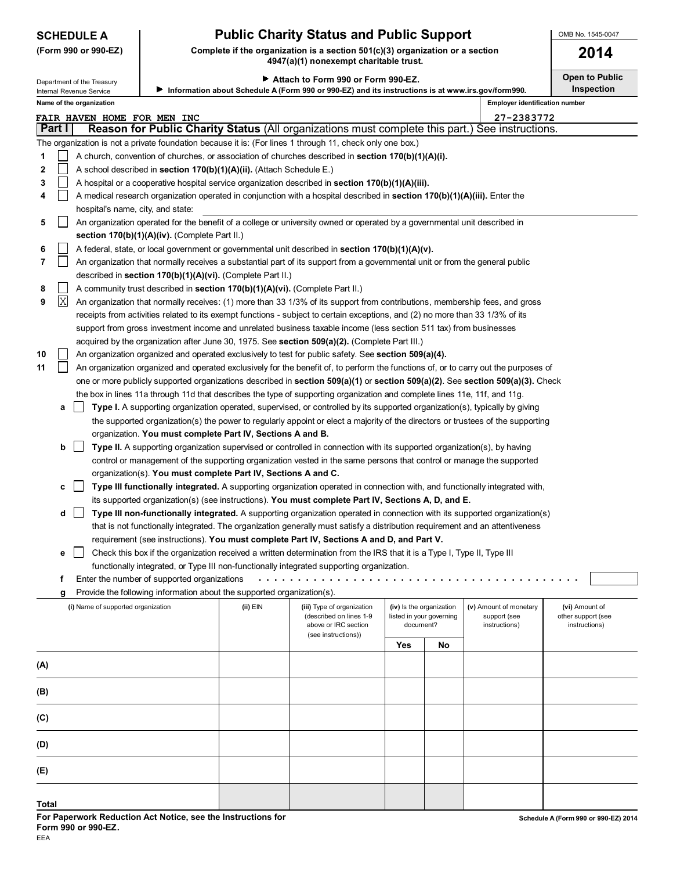Department of the Treasury

## **Public Charity Status and Public Support**

**(Form 990 or 990-EZ) Complete if the organization is a section 501(c)(3) organization or a section 4947(a)(1) nonexempt charitable trust.**

▶ Attach to Form 990 or Form 990-EZ. **Demetrical State of Public** Open to Public

**Inspection Information about Schedule A (Form 990 or 990-EZ) and its instructions is at www.irs.gov/form990.** Internal Revenue Service **Name of the organization Name in the organization Name is a set of the organization** number identification number **FAIR HAVEN HOME FOR MEN INC 27-2383772 Part I Reason for Public Charity Status** (All organizations must complete this part.) See instructions. The organization is not a private foundation because it is: (For lines 1 through 11, check only one box.) **1** A church, convention of churches, or association of churches described in **section 170(b)(1)(A)(i). 2** A school described in **section 170(b)(1)(A)(ii).** (Attach Schedule E.) **3**  $\mathbf{L}$ A hospital or a cooperative hospital service organization described in **section 170(b)(1)(A)(iii).** A medical research organization operated in conjunction with a hospital described in **section 170(b)(1)(A)(iii).** Enter the **4**  $\mathbf{L}$ hospital's name, city, and state: **5**  $\Box$ An organization operated for the benefit of a college or university owned or operated by a governmental unit described in **section 170(b)(1)(A)(iv).** (Complete Part II.) **6** A federal, state, or local government or governmental unit described in **section 170(b)(1)(A)(v).** An organization that normally receives a substantial part of its support from a governmental unit or from the general public  $\Box$ **7** described in **section 170(b)(1)(A)(vi).** (Complete Part II.) **8** A community trust described in **section 170(b)(1)(A)(vi).** (Complete Part II.) X**9** An organization that normally receives: (1) more than 33 1/3% of its support from contributions, membership fees, and gross receipts from activities related to its exempt functions - subject to certain exceptions, and (2) no more than 33 1/3% of its support from gross investment income and unrelated business taxable income (less section 511 tax) from businesses acquired by the organization after June 30, 1975. See **section 509(a)(2).** (Complete Part III.) **10** An organization organized and operated exclusively to test for public safety. See **section 509(a)(4).**  $\Box$ **11** An organization organized and operated exclusively for the benefit of, to perform the functions of, or to carry out the purposes of one or more publicly supported organizations described in **section 509(a)(1)** or **section 509(a)(2)**. See **section 509(a)(3).** Check the box in lines 11a through 11d that describes the type of supporting organization and complete lines 11e, 11f, and 11g. **a Type I.** A supporting organization operated, supervised, or controlled by its supported organization(s), typically by giving the supported organization(s) the power to regularly appoint or elect a majority of the directors or trustees of the supporting organization. **You must complete Part IV, Sections A and B. b**  $\Box$  **Type II.** A supporting organization supervised or controlled in connection with its supported organization(s), by having control or management of the supporting organization vested in the same persons that control or manage the supported organization(s). **You must complete Part IV, Sections A and C. c Type III functionally integrated.** A supporting organization operated in connection with, and functionally integrated with, its supported organization(s) (see instructions). **You must complete Part IV, Sections A, D, and E. d Type III non-functionally integrated.** A supporting organization operated in connection with its supported organization(s) that is not functionally integrated. The organization generally must satisfy a distribution requirement and an attentiveness requirement (see instructions). **You must complete Part IV, Sections A and D, and Part V. e**  $\Box$  Check this box if the organization received a written determination from the IRS that it is a Type I, Type II, Type III functionally integrated, or Type III non-functionally integrated supporting organization. Enter the number of supported organizations . . . . . . . . . . . . . . . . . . . . . . . . . . . . . . . . . . . . . . . . . **f** Provide the following information about the supported organization(s). **g (i)** Name of supported organization **(ii)** EIN **(iii)** Type of organization **(iv)** Is the organization **(v)** Amount of monetary **(vi)** Amount of (described on lines 1-9  $\parallel$  listed in your governing support (see other support (see above or IRC section  $\parallel$  document?  $\parallel$  instructions) instructions) (see instructions)) **Yes No (A) (B) (C) (D) (E)**

**2014**

OMB No. 1545-0047

EEA

**Total**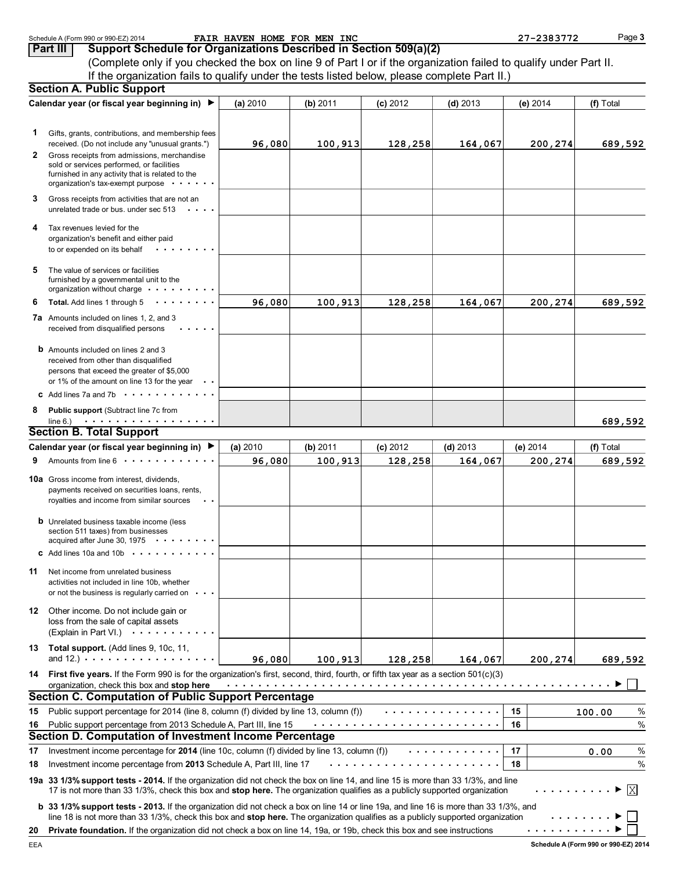|    | Schedule A (Form 990 or 990-EZ) 2014                                                                                                                                                | FAIR HAVEN HOME FOR MEN INC |          |            |            | 27-2383772 | Page 3         |
|----|-------------------------------------------------------------------------------------------------------------------------------------------------------------------------------------|-----------------------------|----------|------------|------------|------------|----------------|
|    | Support Schedule for Organizations Described in Section 509(a)(2)<br>Part III                                                                                                       |                             |          |            |            |            |                |
|    | (Complete only if you checked the box on line 9 of Part I or if the organization failed to qualify under Part II.                                                                   |                             |          |            |            |            |                |
|    | If the organization fails to qualify under the tests listed below, please complete Part II.)                                                                                        |                             |          |            |            |            |                |
|    | <b>Section A. Public Support</b>                                                                                                                                                    |                             |          |            |            |            |                |
|    | Calendar year (or fiscal year beginning in) ▶                                                                                                                                       | (a) 2010                    | (b) 2011 | $(c)$ 2012 | $(d)$ 2013 | (e) 2014   | (f) Total      |
|    |                                                                                                                                                                                     |                             |          |            |            |            |                |
| 1. | Gifts, grants, contributions, and membership fees                                                                                                                                   |                             |          |            |            |            |                |
|    | received. (Do not include any "unusual grants.")                                                                                                                                    | 96,080                      | 100,913  | 128,258    | 164,067    | 200,274    | 689,592        |
| 2  | Gross receipts from admissions, merchandise<br>sold or services performed, or facilities<br>furnished in any activity that is related to the<br>organization's tax-exempt purpose . |                             |          |            |            |            |                |
| 3  | Gross receipts from activities that are not an<br>unrelated trade or bus, under sec 513                                                                                             |                             |          |            |            |            |                |
|    |                                                                                                                                                                                     |                             |          |            |            |            |                |
| 4  | Tax revenues levied for the<br>organization's benefit and either paid<br>to or expended on its behalf                                                                               |                             |          |            |            |            |                |
| 5  | The value of services or facilities<br>furnished by a governmental unit to the<br>organization without charge • •                                                                   |                             |          |            |            |            |                |
| 6  | Total. Add lines 1 through 5                                                                                                                                                        | 96,080                      | 100,913  | 128,258    | 164,067    | 200,274    | 689,592        |
|    | <b>7a</b> Amounts included on lines 1, 2, and 3                                                                                                                                     |                             |          |            |            |            |                |
|    | received from disqualified persons                                                                                                                                                  |                             |          |            |            |            |                |
|    | <b>b</b> Amounts included on lines 2 and 3                                                                                                                                          |                             |          |            |            |            |                |
|    | received from other than disqualified<br>persons that exceed the greater of \$5,000                                                                                                 |                             |          |            |            |            |                |
|    | or 1% of the amount on line 13 for the year                                                                                                                                         |                             |          |            |            |            |                |
|    | <b>C</b> Add lines 7a and 7b $\cdots$ $\cdots$ $\cdots$ $\cdots$                                                                                                                    |                             |          |            |            |            |                |
| 8  | Public support (Subtract line 7c from<br>.<br>line 6.)                                                                                                                              |                             |          |            |            |            | 689,592        |
|    | <b>Section B. Total Support</b>                                                                                                                                                     |                             |          |            |            |            |                |
|    | Calendar year (or fiscal year beginning in) ▶                                                                                                                                       | (a) 2010                    | (b) 2011 | $(c)$ 2012 | $(d)$ 2013 | $(e)$ 2014 | (f) Total      |
| 9  | Amounts from line $6 \cdot \cdot \cdot \cdot \cdot \cdot$                                                                                                                           | 96,080                      | 100,913  | 128,258    | 164,067    | 200,274    | 689,592        |
|    | <b>10a</b> Gross income from interest, dividends,<br>payments received on securities loans, rents,                                                                                  |                             |          |            |            |            |                |
|    | royalties and income from similar sources                                                                                                                                           |                             |          |            |            |            |                |
|    | <b>b</b> Unrelated business taxable income (less<br>section 511 taxes) from businesses<br>acquired after June 30, 1975 $\cdots$                                                     |                             |          |            |            |            |                |
|    | $c$ Add lines 10a and 10b $\cdots$                                                                                                                                                  |                             |          |            |            |            |                |
| 11 | Net income from unrelated business                                                                                                                                                  |                             |          |            |            |            |                |
|    | activities not included in line 10b, whether<br>or not the business is regularly carried on                                                                                         |                             |          |            |            |            |                |
| 12 | Other income. Do not include gain or<br>loss from the sale of capital assets                                                                                                        |                             |          |            |            |            |                |
|    | (Explain in Part VI.)                                                                                                                                                               |                             |          |            |            |            |                |
|    | 13 Total support. (Add lines 9, 10c, 11,<br>and $12.$ ) $\cdots$ $\cdots$ $\cdots$ $\cdots$ $\cdots$ $\cdots$ $\cdots$                                                              | 96,080                      | 100,913  | 128,258    | 164,067    | 200,274    | 689,592        |
|    | 14 First five years. If the Form 990 is for the organization's first, second, third, fourth, or fifth tax year as a section 501(c)(3)                                               |                             |          |            |            |            |                |
|    | organization, check this box and stop here<br><b>Section C. Computation of Public Support Percentage</b>                                                                            |                             |          |            |            |            |                |
| 15 | Public support percentage for 2014 (line 8, column (f) divided by line 13, column (f))                                                                                              |                             |          |            | .          | 15         | %              |
| 16 | Public support percentage from 2013 Schedule A, Part III, line 15                                                                                                                   |                             |          |            |            | 16         | 100.00<br>$\%$ |
|    | Section D. Computation of Investment Income Percentage                                                                                                                              |                             |          |            |            |            |                |
| 17 | Investment income percentage for 2014 (line 10c, column (f) divided by line 13, column (f))                                                                                         |                             |          |            | .          | 17         | %<br>0.00      |
| 18 | Investment income percentage from 2013 Schedule A, Part III, line 17                                                                                                                |                             |          | .          |            | 18         | %              |
|    | 19a 33 1/3% support tests - 2014. If the organization did not check the box on line 14, and line 15 is more than 33 1/3%, and line                                                  |                             |          |            |            |            |                |
|    | 17 is not more than 33 1/3%, check this box and stop here. The organization qualifies as a publicly supported organization                                                          |                             |          |            |            |            | X              |
|    | <b>b</b> 33 1/3% support tests - 2013. If the organization did not check a box on line 14 or line 19a, and line 16 is more than 33 1/3%, and                                        |                             |          |            |            |            |                |
|    | line 18 is not more than 33 1/3%, check this box and stop here. The organization qualifies as a publicly supported organization                                                     |                             |          |            |            |            |                |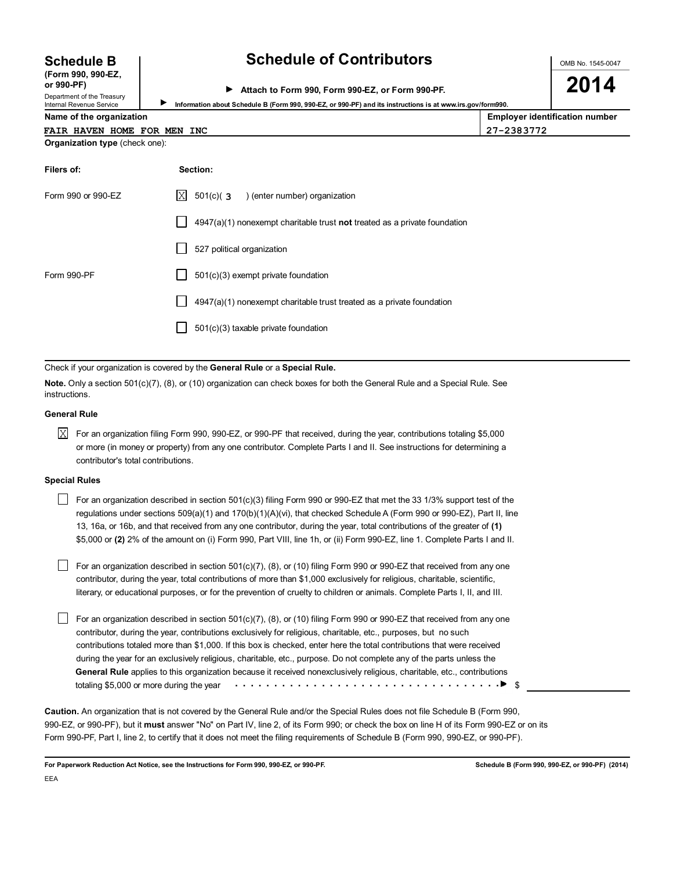**(Form 990, 990-EZ,** Department of the Treasury

Internal Revenue Service

## **Schedule B Schedule of Contributors**

**2014** OMB No. 1545-0047

**or 990-PF) Attach to Form 990, Form 990-EZ, or Form 990-PF.**

**Information about Schedule B (Form 990, 990-EZ, or 990-PF) and its instructions is at www.irs.gov/form990.**

**Organization type** (check one):

| Name of the organization | <b>Employer identification number</b> |
|--------------------------|---------------------------------------|
|--------------------------|---------------------------------------|

| 27-2383772<br>FAIR HAVEN HOME FOR MEN INC |  |
|-------------------------------------------|--|
|-------------------------------------------|--|

ь

| Filers of:         | Section:                                                                    |
|--------------------|-----------------------------------------------------------------------------|
| Form 990 or 990-EZ | $X$ 501(c)(3) (enter number) organization                                   |
|                    | $4947(a)(1)$ nonexempt charitable trust not treated as a private foundation |
|                    | 527 political organization                                                  |
| Form 990-PF        | 501(c)(3) exempt private foundation                                         |
|                    | 4947(a)(1) nonexempt charitable trust treated as a private foundation       |
|                    | 501(c)(3) taxable private foundation                                        |

Check if your organization is covered by the **General Rule** or a **Special Rule.**

**Note.** Only a section 501(c)(7), (8), or (10) organization can check boxes for both the General Rule and a Special Rule. See instructions.

### **General Rule**

 $\overline{\rm X}$   $\,$  For an organization filing Form 990, 990-EZ, or 990-PF that received, during the year, contributions totaling \$5,000  $\,$ or more (in money or property) from any one contributor. Complete Parts I and II. See instructions for determining a contributor's total contributions.

### **Special Rules**

For an organization described in section  $501(c)(3)$  filing Form 990 or 990-EZ that met the 33 1/3% support test of the regulations under sections 509(a)(1) and 170(b)(1)(A)(vi), that checked Schedule A (Form 990 or 990-EZ), Part II, line 13, 16a, or 16b, and that received from any one contributor, during the year, total contributions of the greater of **(1)** \$5,000 or **(2)** 2% of the amount on (i) Form 990, Part VIII, line 1h, or (ii) Form 990-EZ, line 1. Complete Parts I and II.

For an organization described in section 501(c)(7), (8), or (10) filing Form 990 or 990-EZ that received from any one contributor, during the year, total contributions of more than \$1,000 exclusively for religious, charitable, scientific, literary, or educational purposes, or for the prevention of cruelty to children or animals. Complete Parts I, II, and III.

For an organization described in section 501(c)(7), (8), or (10) filing Form 990 or 990-EZ that received from any one contributor, during the year, contributions exclusively for religious, charitable, etc., purposes, but no such contributions totaled more than \$1,000. If this box is checked, enter here the total contributions that were received during the year for an exclusively religious, charitable, etc., purpose. Do not complete any of the parts unless the **General Rule** applies to this organization because it received nonexclusively religious, charitable, etc., contributions totaling \$5,000 or more during the year \$ . . . . . . . . . . . . . . . . . . . . . . . . . . . . . . . . . .

**Caution.** An organization that is not covered by the General Rule and/or the Special Rules does not file Schedule B (Form 990, 990-EZ, or 990-PF), but it **must** answer "No" on Part IV, line 2, of its Form 990; or check the box on line H of its Form 990-EZ or on its Form 990-PF, Part I, line 2, to certify that it does not meet the filing requirements of Schedule B (Form 990, 990-EZ, or 990-PF).

**For Paperwork Reduction Act Notice, see the Instructions for Form 990, 990-EZ, or 990-PF. Schedule B (Form 990, 990-EZ, or 990-PF) (2014)** EEA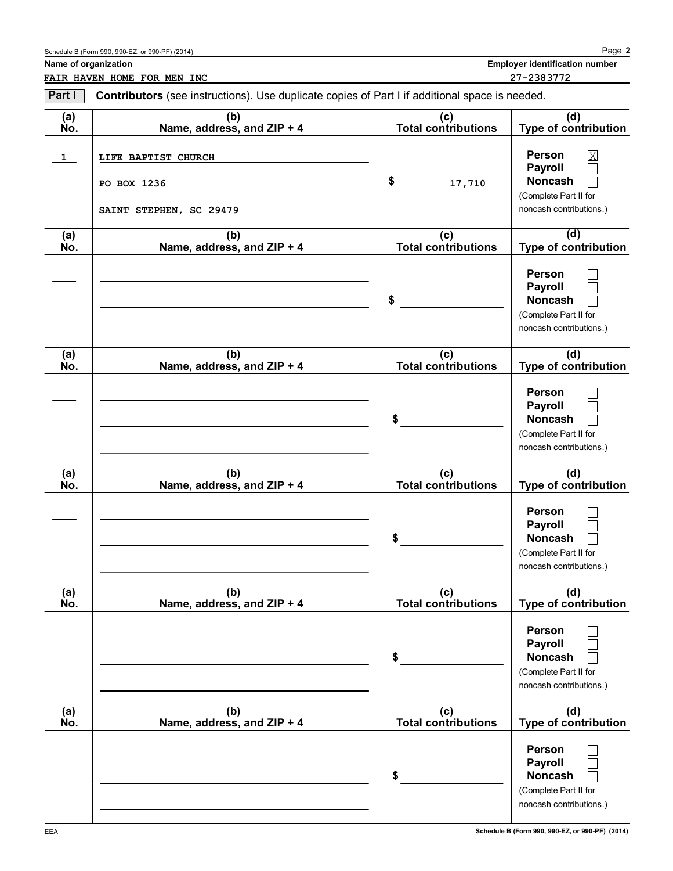| Schedule B (Form 990, 990-EZ, or 990-PF) (2014) |
|-------------------------------------------------|
|-------------------------------------------------|

**2** Page **Name of organization Employer identification number**

**FAIR HAVEN HOME FOR MEN INC 27-2383772**

| Part I       | Contributors (see instructions). Use duplicate copies of Part I if additional space is needed. |                                   |                                                                                                       |  |  |  |  |
|--------------|------------------------------------------------------------------------------------------------|-----------------------------------|-------------------------------------------------------------------------------------------------------|--|--|--|--|
| (a)<br>No.   | (b)<br>Name, address, and ZIP + 4                                                              | (c)<br><b>Total contributions</b> | (d)<br><b>Type of contribution</b>                                                                    |  |  |  |  |
| $\mathbf{1}$ | LIFE BAPTIST CHURCH<br>PO BOX 1236<br>SAINT STEPHEN, SC 29479                                  | \$<br>17,710                      | Person<br>X<br><b>Payroll</b><br><b>Noncash</b><br>(Complete Part II for<br>noncash contributions.)   |  |  |  |  |
| (a)<br>No.   | (b)<br>Name, address, and ZIP + 4                                                              | (c)<br><b>Total contributions</b> | (d)<br><b>Type of contribution</b>                                                                    |  |  |  |  |
|              |                                                                                                | \$                                | Person<br><b>Payroll</b><br><b>Noncash</b><br>(Complete Part II for<br>noncash contributions.)        |  |  |  |  |
| (a)<br>No.   | (b)<br>Name, address, and ZIP + 4                                                              | (c)<br><b>Total contributions</b> | (d)<br><b>Type of contribution</b>                                                                    |  |  |  |  |
|              |                                                                                                | \$                                | Person<br><b>Payroll</b><br><b>Noncash</b><br>(Complete Part II for<br>noncash contributions.)        |  |  |  |  |
| (a)<br>No.   | (b)<br>Name, address, and ZIP + 4                                                              | (c)<br><b>Total contributions</b> | (d)<br><b>Type of contribution</b>                                                                    |  |  |  |  |
|              |                                                                                                | \$                                | <b>Person</b><br><b>Payroll</b><br><b>Noncash</b><br>(Complete Part II for<br>noncash contributions.) |  |  |  |  |
| (a)<br>No.   | (b)<br>Name, address, and ZIP + 4                                                              | (c)<br><b>Total contributions</b> | (d)<br>Type of contribution                                                                           |  |  |  |  |
|              |                                                                                                | \$                                | Person<br><b>Payroll</b><br><b>Noncash</b><br>(Complete Part II for<br>noncash contributions.)        |  |  |  |  |
| (a)<br>No.   | (b)<br>Name, address, and ZIP + 4                                                              | (c)<br><b>Total contributions</b> | (d)<br>Type of contribution                                                                           |  |  |  |  |
|              |                                                                                                | \$                                | <b>Person</b><br><b>Payroll</b><br><b>Noncash</b><br>(Complete Part II for<br>noncash contributions.) |  |  |  |  |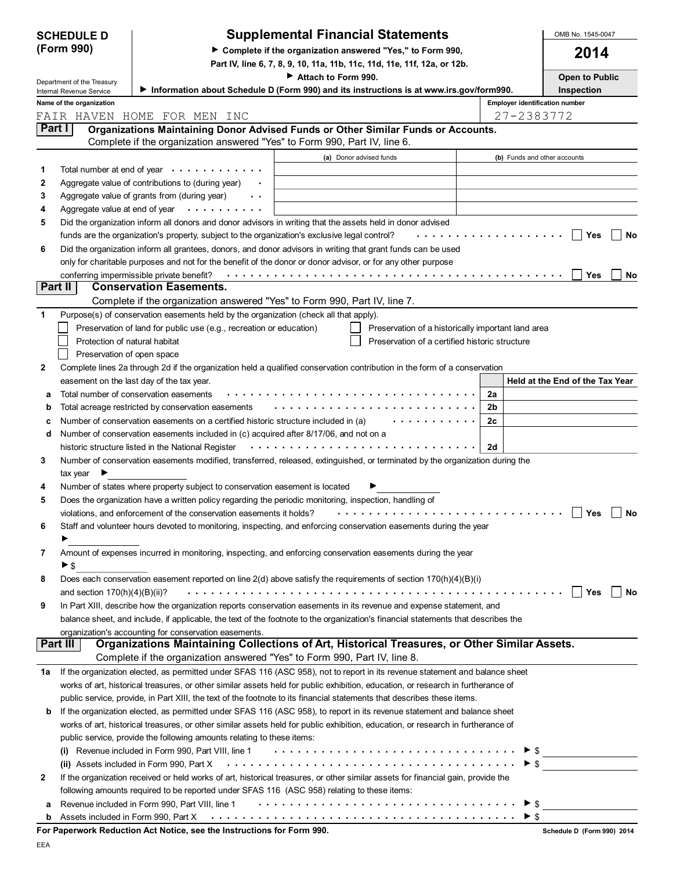| <b>SCHEDULE D</b><br>(Form 990) |                                 | <b>Supplemental Financial Statements</b>                                                      | OMB No. 1545-0047                                                                                                                                                                                                                                            |                      |                                       |
|---------------------------------|---------------------------------|-----------------------------------------------------------------------------------------------|--------------------------------------------------------------------------------------------------------------------------------------------------------------------------------------------------------------------------------------------------------------|----------------------|---------------------------------------|
|                                 |                                 | Complete if the organization answered "Yes," to Form 990,                                     | 2014                                                                                                                                                                                                                                                         |                      |                                       |
|                                 |                                 | Part IV, line 6, 7, 8, 9, 10, 11a, 11b, 11c, 11d, 11e, 11f, 12a, or 12b.                      |                                                                                                                                                                                                                                                              |                      |                                       |
|                                 | Department of the Treasury      |                                                                                               | Attach to Form 990.                                                                                                                                                                                                                                          |                      | Open to Public                        |
|                                 | Internal Revenue Service        |                                                                                               | Information about Schedule D (Form 990) and its instructions is at www.irs.gov/form990.                                                                                                                                                                      |                      | Inspection                            |
|                                 | Name of the organization        |                                                                                               |                                                                                                                                                                                                                                                              |                      | <b>Employer identification number</b> |
| Part I                          |                                 | FAIR HAVEN HOME FOR MEN INC                                                                   | Organizations Maintaining Donor Advised Funds or Other Similar Funds or Accounts.                                                                                                                                                                            |                      | 27-2383772                            |
|                                 |                                 | Complete if the organization answered "Yes" to Form 990, Part IV, line 6.                     |                                                                                                                                                                                                                                                              |                      |                                       |
|                                 |                                 |                                                                                               | (a) Donor advised funds                                                                                                                                                                                                                                      |                      | (b) Funds and other accounts          |
| 1                               |                                 | Total number at end of year $\cdots \cdots \cdots$                                            |                                                                                                                                                                                                                                                              |                      |                                       |
| 2                               |                                 | Aggregate value of contributions to (during year)                                             |                                                                                                                                                                                                                                                              |                      |                                       |
| 3                               |                                 | Aggregate value of grants from (during year)<br>$\cdot$ .                                     |                                                                                                                                                                                                                                                              |                      |                                       |
| 4                               | Aggregate value at end of year  |                                                                                               |                                                                                                                                                                                                                                                              |                      |                                       |
| 5                               |                                 |                                                                                               | Did the organization inform all donors and donor advisors in writing that the assets held in donor advised                                                                                                                                                   |                      |                                       |
|                                 |                                 | funds are the organization's property, subject to the organization's exclusive legal control? |                                                                                                                                                                                                                                                              |                      | Yes<br>No                             |
| 6                               |                                 |                                                                                               | Did the organization inform all grantees, donors, and donor advisors in writing that grant funds can be used<br>only for charitable purposes and not for the benefit of the donor or donor advisor, or for any other purpose                                 |                      |                                       |
|                                 |                                 | conferring impermissible private benefit?                                                     |                                                                                                                                                                                                                                                              |                      | Yes<br>No                             |
| Part II                         |                                 | <b>Conservation Easements.</b>                                                                |                                                                                                                                                                                                                                                              |                      |                                       |
|                                 |                                 |                                                                                               | Complete if the organization answered "Yes" to Form 990, Part IV, line 7.                                                                                                                                                                                    |                      |                                       |
| 1                               |                                 | Purpose(s) of conservation easements held by the organization (check all that apply).         |                                                                                                                                                                                                                                                              |                      |                                       |
|                                 |                                 | Preservation of land for public use (e.g., recreation or education)                           | Preservation of a historically important land area                                                                                                                                                                                                           |                      |                                       |
|                                 | Protection of natural habitat   |                                                                                               | Preservation of a certified historic structure                                                                                                                                                                                                               |                      |                                       |
|                                 | Preservation of open space      |                                                                                               |                                                                                                                                                                                                                                                              |                      |                                       |
| 2                               |                                 |                                                                                               | Complete lines 2a through 2d if the organization held a qualified conservation contribution in the form of a conservation                                                                                                                                    |                      |                                       |
|                                 |                                 | easement on the last day of the tax year.                                                     |                                                                                                                                                                                                                                                              |                      | Held at the End of the Tax Year       |
| а                               |                                 | Total number of conservation easements<br>Total acreage restricted by conservation easements  |                                                                                                                                                                                                                                                              | 2a<br>2 <sub>b</sub> |                                       |
| b<br>c                          |                                 | Number of conservation easements on a certified historic structure included in (a)            |                                                                                                                                                                                                                                                              | 2c                   |                                       |
| d                               |                                 | Number of conservation easements included in (c) acquired after 8/17/06, and not on a         |                                                                                                                                                                                                                                                              |                      |                                       |
|                                 |                                 | historic structure listed in the National Register                                            |                                                                                                                                                                                                                                                              | 2d                   |                                       |
| 3                               |                                 |                                                                                               | Number of conservation easements modified, transferred, released, extinguished, or terminated by the organization during the                                                                                                                                 |                      |                                       |
|                                 | tax year                        |                                                                                               |                                                                                                                                                                                                                                                              |                      |                                       |
| 4                               |                                 | Number of states where property subject to conservation easement is located                   |                                                                                                                                                                                                                                                              |                      |                                       |
| 5                               |                                 |                                                                                               | Does the organization have a written policy regarding the periodic monitoring, inspection, handling of                                                                                                                                                       |                      |                                       |
|                                 |                                 | violations, and enforcement of the conservation easements it holds?                           |                                                                                                                                                                                                                                                              |                      | Yes<br>No                             |
| 6                               |                                 |                                                                                               | Staff and volunteer hours devoted to monitoring, inspecting, and enforcing conservation easements during the year                                                                                                                                            |                      |                                       |
|                                 |                                 |                                                                                               |                                                                                                                                                                                                                                                              |                      |                                       |
| 7                               | $\blacktriangleright$ \$        |                                                                                               | Amount of expenses incurred in monitoring, inspecting, and enforcing conservation easements during the year                                                                                                                                                  |                      |                                       |
| 8                               |                                 |                                                                                               | Does each conservation easement reported on line 2(d) above satisfy the requirements of section 170(h)(4)(B)(i)                                                                                                                                              |                      |                                       |
|                                 | and section $170(h)(4)(B)(ii)?$ |                                                                                               |                                                                                                                                                                                                                                                              |                      | $\mathsf{L}$<br><b>Yes</b><br>No      |
| 9                               |                                 |                                                                                               | In Part XIII, describe how the organization reports conservation easements in its revenue and expense statement, and                                                                                                                                         |                      |                                       |
|                                 |                                 |                                                                                               | balance sheet, and include, if applicable, the text of the footnote to the organization's financial statements that describes the                                                                                                                            |                      |                                       |
|                                 |                                 | organization's accounting for conservation easements.                                         |                                                                                                                                                                                                                                                              |                      |                                       |
|                                 | Part III                        |                                                                                               | Organizations Maintaining Collections of Art, Historical Treasures, or Other Similar Assets.                                                                                                                                                                 |                      |                                       |
|                                 |                                 |                                                                                               | Complete if the organization answered "Yes" to Form 990, Part IV, line 8.                                                                                                                                                                                    |                      |                                       |
| 1a                              |                                 |                                                                                               | If the organization elected, as permitted under SFAS 116 (ASC 958), not to report in its revenue statement and balance sheet                                                                                                                                 |                      |                                       |
|                                 |                                 |                                                                                               | works of art, historical treasures, or other similar assets held for public exhibition, education, or research in furtherance of                                                                                                                             |                      |                                       |
|                                 |                                 |                                                                                               | public service, provide, in Part XIII, the text of the footnote to its financial statements that describes these items.                                                                                                                                      |                      |                                       |
| b                               |                                 |                                                                                               | If the organization elected, as permitted under SFAS 116 (ASC 958), to report in its revenue statement and balance sheet<br>works of art, historical treasures, or other similar assets held for public exhibition, education, or research in furtherance of |                      |                                       |
|                                 |                                 | public service, provide the following amounts relating to these items:                        |                                                                                                                                                                                                                                                              |                      |                                       |
|                                 |                                 |                                                                                               |                                                                                                                                                                                                                                                              |                      | $\blacktriangleright$ s               |
|                                 |                                 |                                                                                               |                                                                                                                                                                                                                                                              |                      | $\blacktriangleright$ \$              |
| 2                               |                                 |                                                                                               | If the organization received or held works of art, historical treasures, or other similar assets for financial gain, provide the                                                                                                                             |                      |                                       |
|                                 |                                 | following amounts required to be reported under SFAS 116 (ASC 958) relating to these items:   |                                                                                                                                                                                                                                                              |                      |                                       |
| a                               |                                 |                                                                                               |                                                                                                                                                                                                                                                              |                      | $\blacktriangleright$ s               |
| b                               |                                 |                                                                                               |                                                                                                                                                                                                                                                              |                      | ►s                                    |
|                                 |                                 | For Paperwork Reduction Act Notice, see the Instructions for Form 990.                        |                                                                                                                                                                                                                                                              |                      | Schedule D (Form 990) 2014            |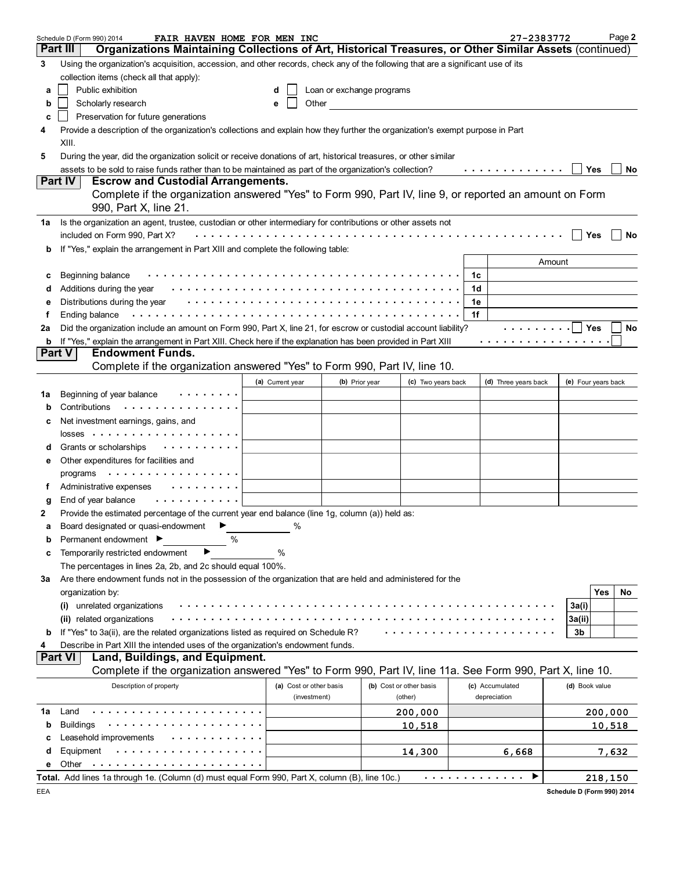|                 | FAIR HAVEN HOME FOR MEN INC<br>Schedule D (Form 990) 2014                                                                        |                  |                           |                         |                    | 27-2383772           |                            |                     | Page 2 |
|-----------------|----------------------------------------------------------------------------------------------------------------------------------|------------------|---------------------------|-------------------------|--------------------|----------------------|----------------------------|---------------------|--------|
| <b>Part III</b> | Organizations Maintaining Collections of Art, Historical Treasures, or Other Similar Assets (continued)                          |                  |                           |                         |                    |                      |                            |                     |        |
| 3               | Using the organization's acquisition, accession, and other records, check any of the following that are a significant use of its |                  |                           |                         |                    |                      |                            |                     |        |
|                 | collection items (check all that apply):                                                                                         |                  |                           |                         |                    |                      |                            |                     |        |
| a               | Public exhibition                                                                                                                |                  | Loan or exchange programs |                         |                    |                      |                            |                     |        |
| b               | Scholarly research                                                                                                               | e                | Other                     |                         |                    |                      |                            |                     |        |
| c               | Preservation for future generations                                                                                              |                  |                           |                         |                    |                      |                            |                     |        |
| 4               | Provide a description of the organization's collections and explain how they further the organization's exempt purpose in Part   |                  |                           |                         |                    |                      |                            |                     |        |
|                 | XIII.                                                                                                                            |                  |                           |                         |                    |                      |                            |                     |        |
| 5               | During the year, did the organization solicit or receive donations of art, historical treasures, or other similar                |                  |                           |                         |                    |                      |                            |                     |        |
|                 | assets to be sold to raise funds rather than to be maintained as part of the organization's collection?                          |                  |                           |                         |                    | .                    |                            | Yes                 | No     |
|                 | Part IV<br><b>Escrow and Custodial Arrangements.</b>                                                                             |                  |                           |                         |                    |                      |                            |                     |        |
|                 | Complete if the organization answered "Yes" to Form 990, Part IV, line 9, or reported an amount on Form                          |                  |                           |                         |                    |                      |                            |                     |        |
|                 | 990, Part X, line 21.                                                                                                            |                  |                           |                         |                    |                      |                            |                     |        |
| 1a              | Is the organization an agent, trustee, custodian or other intermediary for contributions or other assets not                     |                  |                           |                         |                    |                      |                            |                     |        |
|                 | included on Form 990, Part X?                                                                                                    |                  |                           |                         |                    |                      |                            | Yes                 | No     |
| b               | If "Yes," explain the arrangement in Part XIII and complete the following table:                                                 |                  |                           |                         |                    |                      |                            |                     |        |
|                 |                                                                                                                                  |                  |                           |                         |                    |                      | Amount                     |                     |        |
| с               | Beginning balance                                                                                                                |                  |                           |                         |                    | 1с                   |                            |                     |        |
| d               | Additions during the year                                                                                                        |                  |                           |                         |                    | 1d                   |                            |                     |        |
| е               | Distributions during the year                                                                                                    |                  |                           |                         |                    | 1е                   |                            |                     |        |
| f               | Ending balance                                                                                                                   |                  |                           |                         |                    | 1f                   |                            |                     |        |
| 2a              | Did the organization include an amount on Form 990, Part X, line 21, for escrow or custodial account liability?                  |                  |                           |                         |                    |                      | .    Yes                   |                     | No     |
| b               | If "Yes," explain the arrangement in Part XIII. Check here if the explanation has been provided in Part XIII                     |                  |                           |                         |                    | .                    |                            |                     |        |
| <b>Part V</b>   | <b>Endowment Funds.</b>                                                                                                          |                  |                           |                         |                    |                      |                            |                     |        |
|                 | Complete if the organization answered "Yes" to Form 990, Part IV, line 10.                                                       |                  |                           |                         |                    |                      |                            |                     |        |
|                 |                                                                                                                                  |                  |                           |                         |                    |                      |                            |                     |        |
|                 |                                                                                                                                  | (a) Current year |                           | (b) Prior year          | (c) Two years back | (d) Three years back |                            | (e) Four years back |        |
| 1a              | Beginning of year balance<br>.                                                                                                   |                  |                           |                         |                    |                      |                            |                     |        |
| b               | Contributions                                                                                                                    |                  |                           |                         |                    |                      |                            |                     |        |
| с               | Net investment earnings, gains, and                                                                                              |                  |                           |                         |                    |                      |                            |                     |        |
|                 |                                                                                                                                  |                  |                           |                         |                    |                      |                            |                     |        |
| d               | .<br>Grants or scholarships                                                                                                      |                  |                           |                         |                    |                      |                            |                     |        |
| е               | Other expenditures for facilities and                                                                                            |                  |                           |                         |                    |                      |                            |                     |        |
|                 | programs                                                                                                                         |                  |                           |                         |                    |                      |                            |                     |        |
| f               | Administrative expenses<br>.                                                                                                     |                  |                           |                         |                    |                      |                            |                     |        |
| g               | .<br>End of year balance                                                                                                         |                  |                           |                         |                    |                      |                            |                     |        |
| 2               | Provide the estimated percentage of the current year end balance (line 1g, column (a)) held as:                                  |                  |                           |                         |                    |                      |                            |                     |        |
|                 | Board designated or quasi-endowment                                                                                              | %                |                           |                         |                    |                      |                            |                     |        |
| b               | $\%$<br>Permanent endowment ▶                                                                                                    |                  |                           |                         |                    |                      |                            |                     |        |
| c               | Temporarily restricted endowment                                                                                                 | $\%$             |                           |                         |                    |                      |                            |                     |        |
|                 | The percentages in lines 2a, 2b, and 2c should equal 100%.                                                                       |                  |                           |                         |                    |                      |                            |                     |        |
| За              | Are there endowment funds not in the possession of the organization that are held and administered for the                       |                  |                           |                         |                    |                      |                            |                     |        |
|                 | organization by:                                                                                                                 |                  |                           |                         |                    |                      |                            | Yes                 | No     |
|                 | unrelated organizations<br>$\mathbf{u}$                                                                                          |                  |                           |                         |                    |                      | 3a(i)                      |                     |        |
|                 | (ii) related organizations                                                                                                       |                  |                           |                         |                    |                      | 3a(ii)                     |                     |        |
| b               | If "Yes" to 3a(ii), are the related organizations listed as required on Schedule R?                                              |                  |                           |                         |                    |                      | 3b                         |                     |        |
| 4               | Describe in Part XIII the intended uses of the organization's endowment funds.                                                   |                  |                           |                         |                    |                      |                            |                     |        |
|                 | <b>Part VI</b><br>Land, Buildings, and Equipment.                                                                                |                  |                           |                         |                    |                      |                            |                     |        |
|                 | Complete if the organization answered "Yes" to Form 990, Part IV, line 11a. See Form 990, Part X, line 10.                       |                  |                           |                         |                    |                      |                            |                     |        |
|                 | Description of property                                                                                                          |                  | (a) Cost or other basis   | (b) Cost or other basis |                    | (c) Accumulated      |                            | (d) Book value      |        |
|                 |                                                                                                                                  |                  | (investment)              | (other)                 |                    | depreciation         |                            |                     |        |
| 1a              | Land                                                                                                                             |                  |                           |                         | 200,000            |                      |                            | 200,000             |        |
| b               | <b>Buildings</b>                                                                                                                 |                  |                           |                         | 10,518             |                      |                            | 10,518              |        |
| c               | Leasehold improvements                                                                                                           |                  |                           |                         |                    |                      |                            |                     |        |
| d               | Equipment<br>$\sim$ 100 $\sim$                                                                                                   |                  |                           |                         | 14,300             | 6,668                |                            | 7,632               |        |
| е               | Other                                                                                                                            |                  |                           |                         |                    |                      |                            |                     |        |
|                 | Total. Add lines 1a through 1e. (Column (d) must equal Form 990, Part X, column (B), line 10c.)                                  |                  |                           |                         |                    | ▶<br>.               |                            |                     |        |
|                 |                                                                                                                                  |                  |                           |                         |                    |                      |                            | 218,150             |        |
| EEA             |                                                                                                                                  |                  |                           |                         |                    |                      | Schedule D (Form 990) 2014 |                     |        |

**Schedule D (Form 990) 2014**